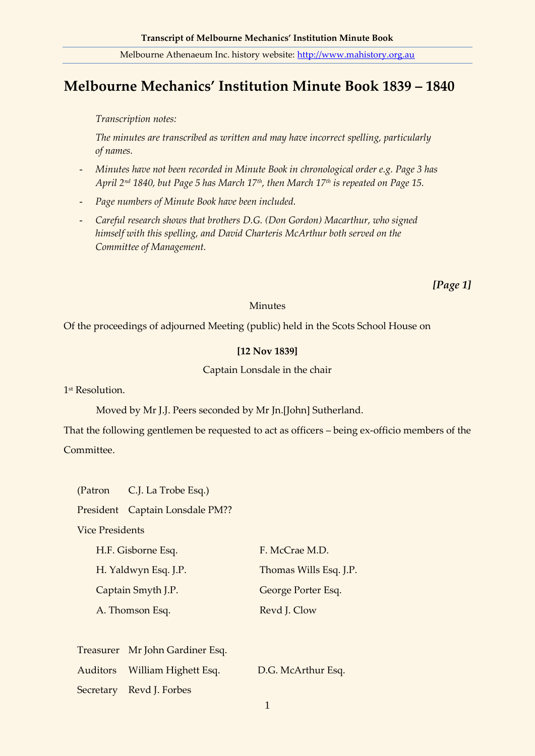# **Melbourne Mechanics' Institution Minute Book 1839 – 1840**

*Transcription notes:*

*The minutes are transcribed as written and may have incorrect spelling, particularly of names.*

- *Minutes have not been recorded in Minute Book in chronological order e.g. Page 3 has April 2nd 1840, but Page 5 has March 17th, then March 17th is repeated on Page 15.*
- *Page numbers of Minute Book have been included.*
- *Careful research shows that brothers D.G. (Don Gordon) Macarthur, who signed himself with this spelling, and David Charteris McArthur both served on the Committee of Management.*

*[Page 1]*

#### **Minutes**

Of the proceedings of adjourned Meeting (public) held in the Scots School House on

## **[12 Nov 1839]**

Captain Lonsdale in the chair

1 st Resolution.

Moved by Mr J.J. Peers seconded by Mr Jn.[John] Sutherland.

That the following gentlemen be requested to act as officers – being ex-officio members of the Committee.

(Patron C.J. La Trobe Esq.)

President Captain Lonsdale PM??

Vice Presidents

| H.F. Gisborne Esq.   | F. McCrae M.D.         |
|----------------------|------------------------|
| H. Yaldwyn Esq. J.P. | Thomas Wills Esq. J.P. |
| Captain Smyth J.P.   | George Porter Esq.     |
| A. Thomson Esq.      | Revd J. Clow           |

| Treasurer Mr John Gardiner Esq. |                    |
|---------------------------------|--------------------|
| Auditors William Highett Esq.   | D.G. McArthur Esq. |
| Secretary Revd J. Forbes        |                    |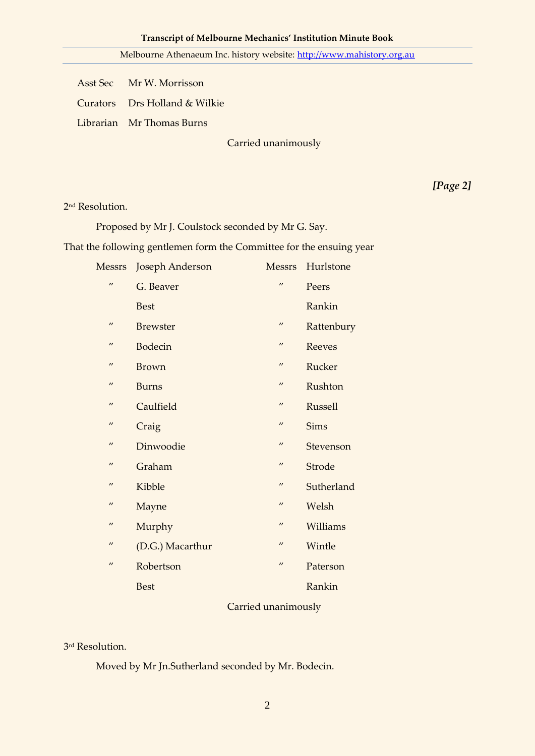Asst Sec Mr W. Morrisson

Curators Drs Holland & Wilkie

Librarian Mr Thomas Burns

Carried unanimously

*[Page 2]*

2 nd Resolution.

Proposed by Mr J. Coulstock seconded by Mr G. Say.

That the following gentlemen form the Committee for the ensuing year

| Messrs            | Joseph Anderson  | <b>Messrs</b>     | Hurlstone     |
|-------------------|------------------|-------------------|---------------|
| $^{\prime\prime}$ | G. Beaver        | $^{\prime\prime}$ | Peers         |
|                   | <b>Best</b>      |                   | Rankin        |
| $^{\prime\prime}$ | <b>Brewster</b>  | $^{\prime\prime}$ | Rattenbury    |
| $^{\prime\prime}$ | <b>Bodecin</b>   | $^{\prime\prime}$ | <b>Reeves</b> |
| $^{\prime\prime}$ | <b>Brown</b>     | $^{\prime\prime}$ | Rucker        |
| $^{\prime\prime}$ | <b>Burns</b>     | $\prime\prime$    | Rushton       |
| $^{\prime\prime}$ | Caulfield        | $^{\prime\prime}$ | Russell       |
| $^{\prime\prime}$ | Craig            | $^{\prime\prime}$ | <b>Sims</b>   |
| $^{\prime\prime}$ | Dinwoodie        | $^{\prime\prime}$ | Stevenson     |
| $^{\prime\prime}$ | Graham           | $^{\prime\prime}$ | Strode        |
| $^{\prime\prime}$ | Kibble           | $^{\prime\prime}$ | Sutherland    |
| $^{\prime\prime}$ | Mayne            | $^{\prime\prime}$ | Welsh         |
| $^{\prime\prime}$ | Murphy           | $\prime\prime$    | Williams      |
| $^{\prime\prime}$ | (D.G.) Macarthur | $^{\prime\prime}$ | Wintle        |
| $^{\prime\prime}$ | Robertson        | $^{\prime\prime}$ | Paterson      |
|                   | <b>Best</b>      |                   | Rankin        |
|                   |                  |                   |               |

# Carried unanimously

3 rd Resolution.

Moved by Mr Jn.Sutherland seconded by Mr. Bodecin.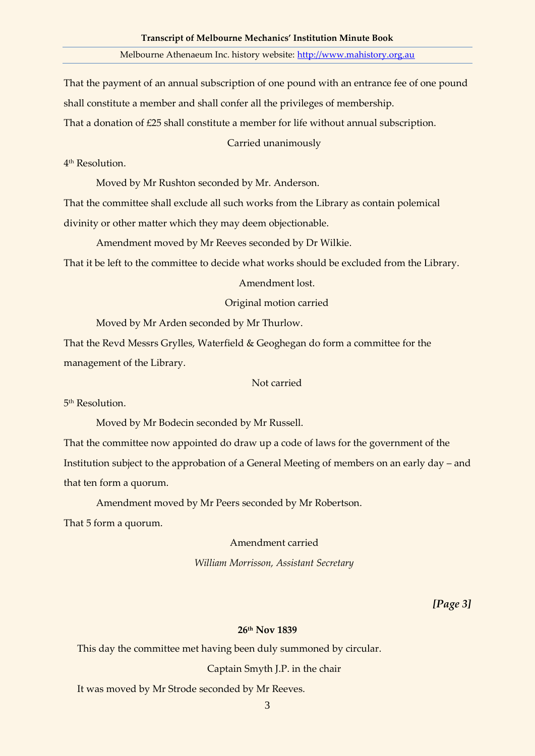That the payment of an annual subscription of one pound with an entrance fee of one pound shall constitute a member and shall confer all the privileges of membership.

That a donation of £25 shall constitute a member for life without annual subscription.

Carried unanimously

4 th Resolution.

Moved by Mr Rushton seconded by Mr. Anderson.

That the committee shall exclude all such works from the Library as contain polemical divinity or other matter which they may deem objectionable.

Amendment moved by Mr Reeves seconded by Dr Wilkie.

That it be left to the committee to decide what works should be excluded from the Library.

Amendment lost.

Original motion carried

Moved by Mr Arden seconded by Mr Thurlow.

That the Revd Messrs Grylles, Waterfield & Geoghegan do form a committee for the management of the Library.

Not carried

5<sup>th</sup> Resolution.

Moved by Mr Bodecin seconded by Mr Russell.

That the committee now appointed do draw up a code of laws for the government of the Institution subject to the approbation of a General Meeting of members on an early day – and that ten form a quorum.

Amendment moved by Mr Peers seconded by Mr Robertson.

That 5 form a quorum.

Amendment carried

*William Morrisson, Assistant Secretary*

*[Page 3]*

#### **26th Nov 1839**

This day the committee met having been duly summoned by circular.

Captain Smyth J.P. in the chair

It was moved by Mr Strode seconded by Mr Reeves.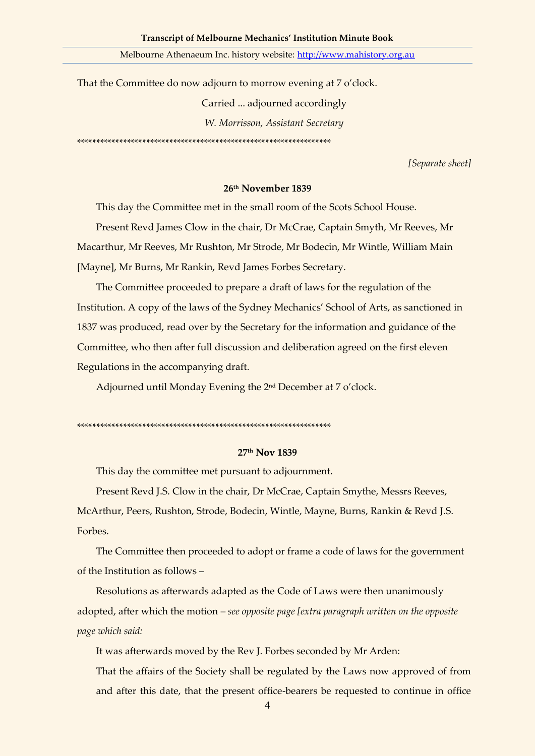That the Committee do now adjourn to morrow evening at 7 o'clock.

Carried ... adjourned accordingly

*W. Morrisson, Assistant Secretary*

\*\*\*\*\*\*\*\*\*\*\*\*\*\*\*\*\*\*\*\*\*\*\*\*\*\*\*\*\*\*\*\*\*\*\*\*\*\*\*\*\*\*\*\*\*\*\*\*\*\*\*\*\*\*\*\*\*\*\*\*\*\*\*\*\*\*

*[Separate sheet]*

### **26th November 1839**

This day the Committee met in the small room of the Scots School House.

Present Revd James Clow in the chair, Dr McCrae, Captain Smyth, Mr Reeves, Mr Macarthur, Mr Reeves, Mr Rushton, Mr Strode, Mr Bodecin, Mr Wintle, William Main [Mayne], Mr Burns, Mr Rankin, Revd James Forbes Secretary.

The Committee proceeded to prepare a draft of laws for the regulation of the Institution. A copy of the laws of the Sydney Mechanics' School of Arts, as sanctioned in 1837 was produced, read over by the Secretary for the information and guidance of the Committee, who then after full discussion and deliberation agreed on the first eleven Regulations in the accompanying draft.

Adjourned until Monday Evening the 2nd December at 7 o'clock.

\*\*\*\*\*\*\*\*\*\*\*\*\*\*\*\*\*\*\*\*\*\*\*\*\*\*\*\*\*\*\*\*\*\*\*\*\*\*\*\*\*\*\*\*\*\*\*\*\*\*\*\*\*\*\*\*\*\*\*\*\*\*\*\*\*\*

#### **27th Nov 1839**

This day the committee met pursuant to adjournment.

Present Revd J.S. Clow in the chair, Dr McCrae, Captain Smythe, Messrs Reeves,

McArthur, Peers, Rushton, Strode, Bodecin, Wintle, Mayne, Burns, Rankin & Revd J.S. Forbes.

The Committee then proceeded to adopt or frame a code of laws for the government of the Institution as follows –

Resolutions as afterwards adapted as the Code of Laws were then unanimously adopted, after which the motion – *see opposite page [extra paragraph written on the opposite page which said:*

It was afterwards moved by the Rev J. Forbes seconded by Mr Arden:

That the affairs of the Society shall be regulated by the Laws now approved of from and after this date, that the present office-bearers be requested to continue in office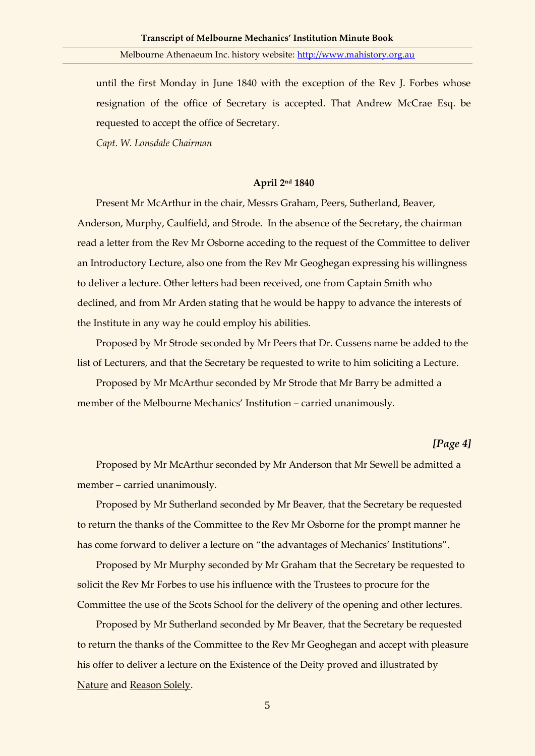until the first Monday in June 1840 with the exception of the Rev J. Forbes whose resignation of the office of Secretary is accepted. That Andrew McCrae Esq. be requested to accept the office of Secretary.

*Capt. W. Lonsdale Chairman*

## **April 2nd 1840**

Present Mr McArthur in the chair, Messrs Graham, Peers, Sutherland, Beaver, Anderson, Murphy, Caulfield, and Strode. In the absence of the Secretary, the chairman read a letter from the Rev Mr Osborne acceding to the request of the Committee to deliver an Introductory Lecture, also one from the Rev Mr Geoghegan expressing his willingness to deliver a lecture. Other letters had been received, one from Captain Smith who declined, and from Mr Arden stating that he would be happy to advance the interests of the Institute in any way he could employ his abilities.

Proposed by Mr Strode seconded by Mr Peers that Dr. Cussens name be added to the list of Lecturers, and that the Secretary be requested to write to him soliciting a Lecture.

Proposed by Mr McArthur seconded by Mr Strode that Mr Barry be admitted a member of the Melbourne Mechanics' Institution – carried unanimously*.*

## *[Page 4]*

Proposed by Mr McArthur seconded by Mr Anderson that Mr Sewell be admitted a member – carried unanimously*.*

Proposed by Mr Sutherland seconded by Mr Beaver, that the Secretary be requested to return the thanks of the Committee to the Rev Mr Osborne for the prompt manner he has come forward to deliver a lecture on "the advantages of Mechanics' Institutions".

Proposed by Mr Murphy seconded by Mr Graham that the Secretary be requested to solicit the Rev Mr Forbes to use his influence with the Trustees to procure for the Committee the use of the Scots School for the delivery of the opening and other lectures.

Proposed by Mr Sutherland seconded by Mr Beaver, that the Secretary be requested to return the thanks of the Committee to the Rev Mr Geoghegan and accept with pleasure his offer to deliver a lecture on the Existence of the Deity proved and illustrated by Nature and Reason Solely.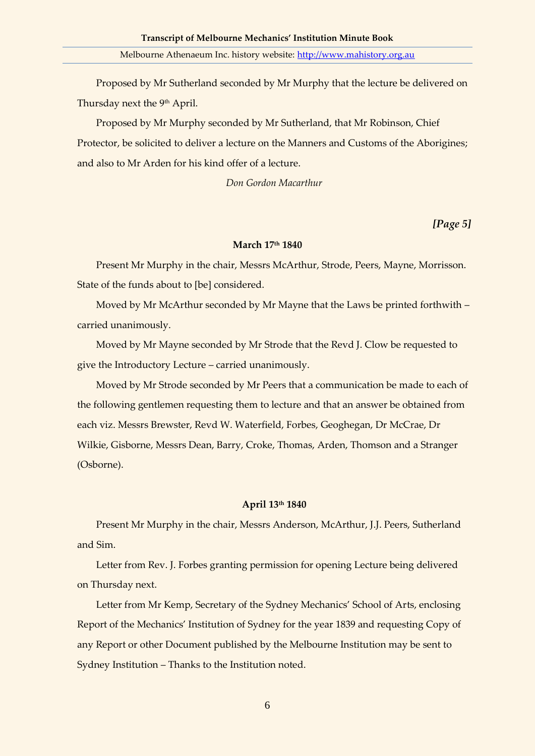Proposed by Mr Sutherland seconded by Mr Murphy that the lecture be delivered on Thursday next the 9<sup>th</sup> April.

Proposed by Mr Murphy seconded by Mr Sutherland, that Mr Robinson, Chief Protector, be solicited to deliver a lecture on the Manners and Customs of the Aborigines; and also to Mr Arden for his kind offer of a lecture.

*Don Gordon Macarthur*

*[Page 5]*

#### **March 17th 1840**

Present Mr Murphy in the chair, Messrs McArthur, Strode, Peers, Mayne, Morrisson. State of the funds about to [be] considered.

Moved by Mr McArthur seconded by Mr Mayne that the Laws be printed forthwith – carried unanimously.

Moved by Mr Mayne seconded by Mr Strode that the Revd J. Clow be requested to give the Introductory Lecture – carried unanimously.

Moved by Mr Strode seconded by Mr Peers that a communication be made to each of the following gentlemen requesting them to lecture and that an answer be obtained from each viz. Messrs Brewster, Revd W. Waterfield, Forbes, Geoghegan, Dr McCrae, Dr Wilkie, Gisborne, Messrs Dean, Barry, Croke, Thomas, Arden, Thomson and a Stranger (Osborne).

#### **April 13th 1840**

Present Mr Murphy in the chair, Messrs Anderson, McArthur, J.J. Peers, Sutherland and Sim.

Letter from Rev. J. Forbes granting permission for opening Lecture being delivered on Thursday next.

Letter from Mr Kemp, Secretary of the Sydney Mechanics' School of Arts, enclosing Report of the Mechanics' Institution of Sydney for the year 1839 and requesting Copy of any Report or other Document published by the Melbourne Institution may be sent to Sydney Institution – Thanks to the Institution noted.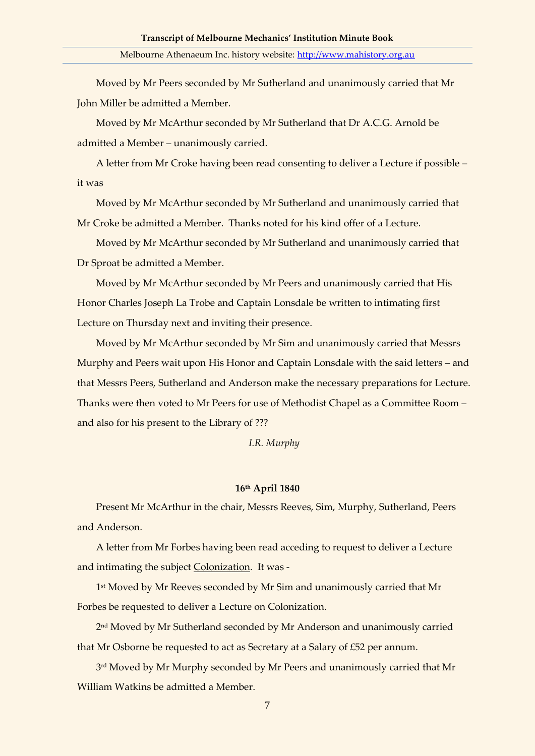Moved by Mr Peers seconded by Mr Sutherland and unanimously carried that Mr John Miller be admitted a Member.

Moved by Mr McArthur seconded by Mr Sutherland that Dr A.C.G. Arnold be admitted a Member – unanimously carried.

A letter from Mr Croke having been read consenting to deliver a Lecture if possible – it was

Moved by Mr McArthur seconded by Mr Sutherland and unanimously carried that Mr Croke be admitted a Member. Thanks noted for his kind offer of a Lecture.

Moved by Mr McArthur seconded by Mr Sutherland and unanimously carried that Dr Sproat be admitted a Member.

Moved by Mr McArthur seconded by Mr Peers and unanimously carried that His Honor Charles Joseph La Trobe and Captain Lonsdale be written to intimating first Lecture on Thursday next and inviting their presence.

Moved by Mr McArthur seconded by Mr Sim and unanimously carried that Messrs Murphy and Peers wait upon His Honor and Captain Lonsdale with the said letters – and that Messrs Peers, Sutherland and Anderson make the necessary preparations for Lecture. Thanks were then voted to Mr Peers for use of Methodist Chapel as a Committee Room – and also for his present to the Library of ???

*I.R. Murphy*

#### **16th April 1840**

Present Mr McArthur in the chair, Messrs Reeves, Sim, Murphy, Sutherland, Peers and Anderson.

A letter from Mr Forbes having been read acceding to request to deliver a Lecture and intimating the subject Colonization. It was -

1 st Moved by Mr Reeves seconded by Mr Sim and unanimously carried that Mr Forbes be requested to deliver a Lecture on Colonization.

2 nd Moved by Mr Sutherland seconded by Mr Anderson and unanimously carried that Mr Osborne be requested to act as Secretary at a Salary of £52 per annum.

3 rd Moved by Mr Murphy seconded by Mr Peers and unanimously carried that Mr William Watkins be admitted a Member.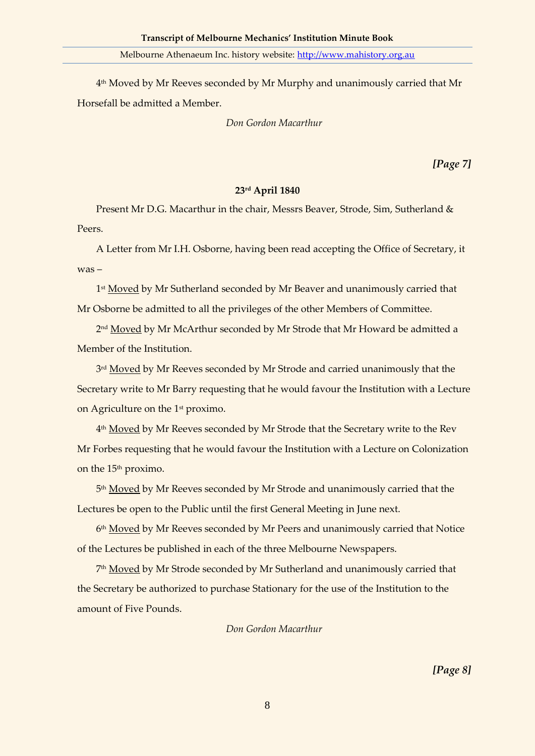4 th Moved by Mr Reeves seconded by Mr Murphy and unanimously carried that Mr Horsefall be admitted a Member.

*Don Gordon Macarthur*

*[Page 7]*

# **23rd April 1840**

Present Mr D.G. Macarthur in the chair, Messrs Beaver, Strode, Sim, Sutherland & Peers.

A Letter from Mr I.H. Osborne, having been read accepting the Office of Secretary, it was –

1<sup>st</sup> <u>Moved</u> by Mr Sutherland seconded by Mr Beaver and unanimously carried that Mr Osborne be admitted to all the privileges of the other Members of Committee.

2<u>nd Moved</u> by Mr McArthur seconded by Mr Strode that Mr Howard be admitted a Member of the Institution.

3<sup>rd</sup> <u>Moved</u> by Mr Reeves seconded by Mr Strode and carried unanimously that the Secretary write to Mr Barry requesting that he would favour the Institution with a Lecture on Agriculture on the 1st proximo.

4<sup>th</sup> <u>Moved</u> by Mr Reeves seconded by Mr Strode that the Secretary write to the Rev Mr Forbes requesting that he would favour the Institution with a Lecture on Colonization on the 15<sup>th</sup> proximo.

5<sup>th</sup> <u>Moved</u> by Mr Reeves seconded by Mr Strode and unanimously carried that the Lectures be open to the Public until the first General Meeting in June next.

6<sup>th</sup> Moved by Mr Reeves seconded by Mr Peers and unanimously carried that Notice of the Lectures be published in each of the three Melbourne Newspapers.

7<sup>th</sup> <u>Moved</u> by Mr Strode seconded by Mr Sutherland and unanimously carried that the Secretary be authorized to purchase Stationary for the use of the Institution to the amount of Five Pounds.

## *Don Gordon Macarthur*

*[Page 8]*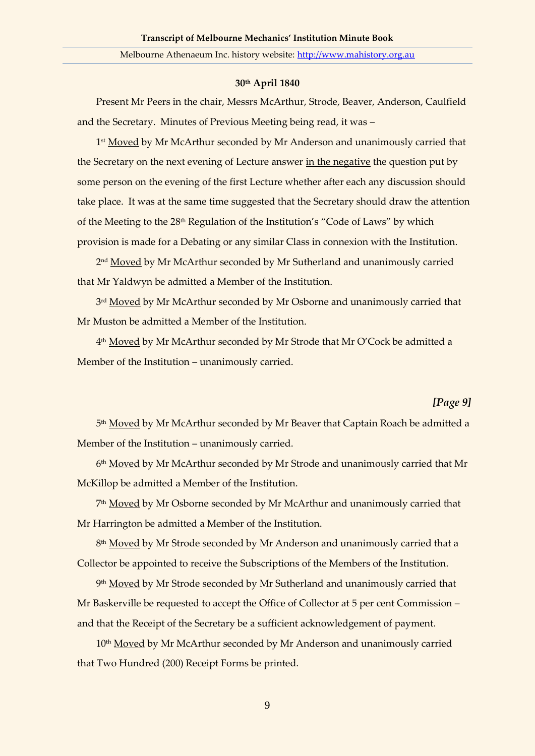#### **30th April 1840**

Present Mr Peers in the chair, Messrs McArthur, Strode, Beaver, Anderson, Caulfield and the Secretary. Minutes of Previous Meeting being read, it was –

1<sup>st</sup> <u>Moved</u> by Mr McArthur seconded by Mr Anderson and unanimously carried that the Secretary on the next evening of Lecture answer in the negative the question put by some person on the evening of the first Lecture whether after each any discussion should take place. It was at the same time suggested that the Secretary should draw the attention of the Meeting to the 28th Regulation of the Institution's "Code of Laws" by which provision is made for a Debating or any similar Class in connexion with the Institution.

2<sup>nd</sup> <u>Moved</u> by Mr McArthur seconded by Mr Sutherland and unanimously carried that Mr Yaldwyn be admitted a Member of the Institution.

3<sup>rd</sup> <u>Moved</u> by Mr McArthur seconded by Mr Osborne and unanimously carried that Mr Muston be admitted a Member of the Institution.

4<sup>th</sup> <u>Moved</u> by Mr McArthur seconded by Mr Strode that Mr O'Cock be admitted a Member of the Institution – unanimously carried.

## *[Page 9]*

5<sup>th</sup> <u>Moved</u> by Mr McArthur seconded by Mr Beaver that Captain Roach be admitted a Member of the Institution – unanimously carried.

6<sup>th</sup> Moved by Mr McArthur seconded by Mr Strode and unanimously carried that Mr McKillop be admitted a Member of the Institution.

7th <u>Moved</u> by Mr Osborne seconded by Mr McArthur and unanimously carried that Mr Harrington be admitted a Member of the Institution.

8<sup>th</sup> <u>Moved</u> by Mr Strode seconded by Mr Anderson and unanimously carried that a Collector be appointed to receive the Subscriptions of the Members of the Institution.

9<sup>th</sup> <u>Moved</u> by Mr Strode seconded by Mr Sutherland and unanimously carried that Mr Baskerville be requested to accept the Office of Collector at 5 per cent Commission – and that the Receipt of the Secretary be a sufficient acknowledgement of payment.

10<sup>th</sup> Moved by Mr McArthur seconded by Mr Anderson and unanimously carried that Two Hundred (200) Receipt Forms be printed.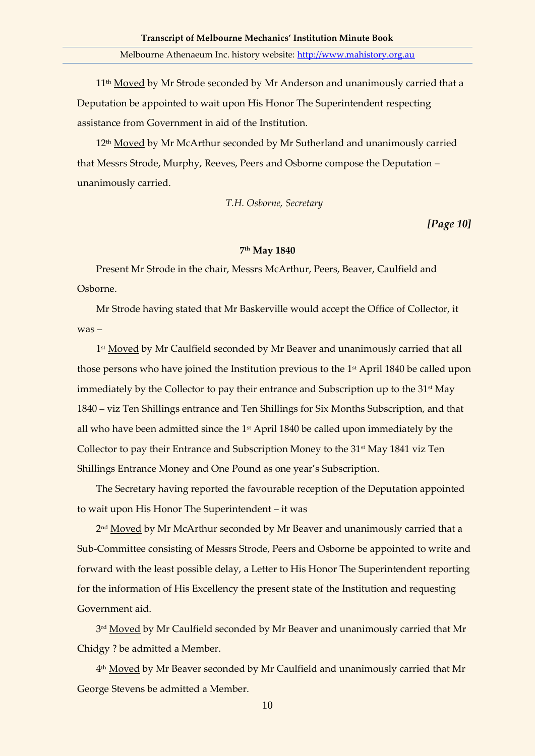11<sup>th</sup> Moved by Mr Strode seconded by Mr Anderson and unanimously carried that a Deputation be appointed to wait upon His Honor The Superintendent respecting assistance from Government in aid of the Institution.

12<sup>th</sup> Moved by Mr McArthur seconded by Mr Sutherland and unanimously carried that Messrs Strode, Murphy, Reeves, Peers and Osborne compose the Deputation – unanimously carried.

#### *T.H. Osborne, Secretary*

*[Page 10]*

#### **7 th May 1840**

Present Mr Strode in the chair, Messrs McArthur, Peers, Beaver, Caulfield and Osborne.

Mr Strode having stated that Mr Baskerville would accept the Office of Collector, it was –

1<sup>st</sup> <u>Moved</u> by Mr Caulfield seconded by Mr Beaver and unanimously carried that all those persons who have joined the Institution previous to the 1<sup>st</sup> April 1840 be called upon immediately by the Collector to pay their entrance and Subscription up to the  $31<sup>st</sup>$  May 1840 – viz Ten Shillings entrance and Ten Shillings for Six Months Subscription, and that all who have been admitted since the 1<sup>st</sup> April 1840 be called upon immediately by the Collector to pay their Entrance and Subscription Money to the 31<sup>st</sup> May 1841 viz Ten Shillings Entrance Money and One Pound as one year's Subscription.

The Secretary having reported the favourable reception of the Deputation appointed to wait upon His Honor The Superintendent – it was

2<sup>nd</sup> <u>Moved</u> by Mr McArthur seconded by Mr Beaver and unanimously carried that a Sub-Committee consisting of Messrs Strode, Peers and Osborne be appointed to write and forward with the least possible delay, a Letter to His Honor The Superintendent reporting for the information of His Excellency the present state of the Institution and requesting Government aid.

3<sup>rd</sup> <u>Moved</u> by Mr Caulfield seconded by Mr Beaver and unanimously carried that Mr Chidgy ? be admitted a Member.

4<sup>th</sup> <u>Moved</u> by Mr Beaver seconded by Mr Caulfield and unanimously carried that Mr George Stevens be admitted a Member.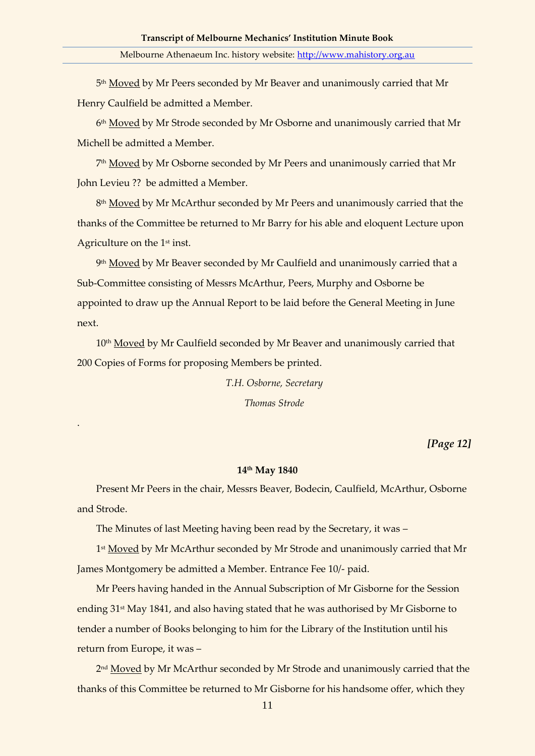5<sup>th</sup> <u>Moved</u> by Mr Peers seconded by Mr Beaver and unanimously carried that Mr Henry Caulfield be admitted a Member.

6<sup>th</sup> Moved by Mr Strode seconded by Mr Osborne and unanimously carried that Mr Michell be admitted a Member.

7th <u>Moved</u> by Mr Osborne seconded by Mr Peers and unanimously carried that Mr John Levieu ?? be admitted a Member.

8<sup>th</sup> <u>Moved</u> by Mr McArthur seconded by Mr Peers and unanimously carried that the thanks of the Committee be returned to Mr Barry for his able and eloquent Lecture upon Agriculture on the 1<sup>st</sup> inst.

9th <u>Moved</u> by Mr Beaver seconded by Mr Caulfield and unanimously carried that a Sub-Committee consisting of Messrs McArthur, Peers, Murphy and Osborne be appointed to draw up the Annual Report to be laid before the General Meeting in June next.

10<sup>th</sup> Moved by Mr Caulfield seconded by Mr Beaver and unanimously carried that 200 Copies of Forms for proposing Members be printed.

> *T.H. Osborne, Secretary Thomas Strode*

> > *[Page 12]*

#### **14th May 1840**

Present Mr Peers in the chair, Messrs Beaver, Bodecin, Caulfield, McArthur, Osborne and Strode.

The Minutes of last Meeting having been read by the Secretary, it was –

.

1<sup>st</sup> <u>Moved</u> by Mr McArthur seconded by Mr Strode and unanimously carried that Mr James Montgomery be admitted a Member. Entrance Fee 10/- paid.

Mr Peers having handed in the Annual Subscription of Mr Gisborne for the Session ending 31st May 1841, and also having stated that he was authorised by Mr Gisborne to tender a number of Books belonging to him for the Library of the Institution until his return from Europe, it was –

2<sup>nd</sup> <u>Moved</u> by Mr McArthur seconded by Mr Strode and unanimously carried that the thanks of this Committee be returned to Mr Gisborne for his handsome offer, which they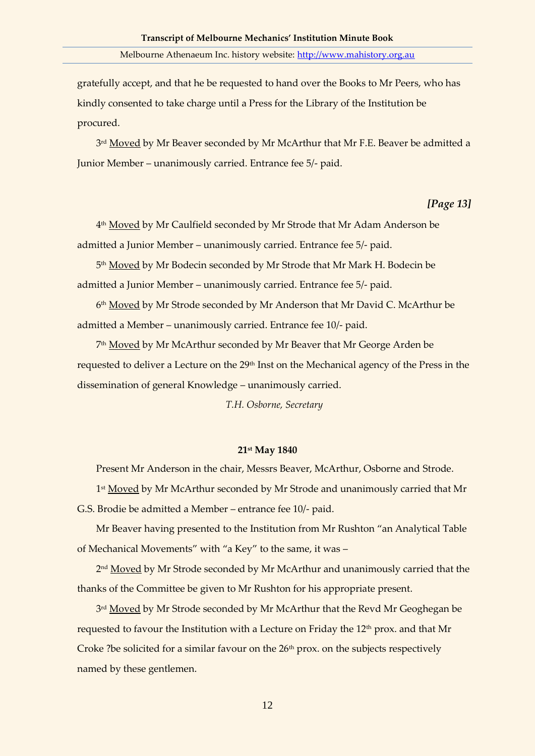gratefully accept, and that he be requested to hand over the Books to Mr Peers, who has kindly consented to take charge until a Press for the Library of the Institution be procured.

3<sup>rd</sup> <u>Moved</u> by Mr Beaver seconded by Mr McArthur that Mr F.E. Beaver be admitted a Junior Member – unanimously carried. Entrance fee 5/- paid.

## *[Page 13]*

4th <u>Moved</u> by Mr Caulfield seconded by Mr Strode that Mr Adam Anderson be admitted a Junior Member – unanimously carried. Entrance fee 5/- paid.

5<sup>th</sup> <u>Moved</u> by Mr Bodecin seconded by Mr Strode that Mr Mark H. Bodecin be admitted a Junior Member – unanimously carried. Entrance fee 5/- paid.

6<sup>th</sup> <u>Moved</u> by Mr Strode seconded by Mr Anderson that Mr David C. McArthur be admitted a Member – unanimously carried. Entrance fee 10/- paid.

7th <u>Moved</u> by Mr McArthur seconded by Mr Beaver that Mr George Arden be requested to deliver a Lecture on the 29<sup>th</sup> Inst on the Mechanical agency of the Press in the dissemination of general Knowledge – unanimously carried.

*T.H. Osborne, Secretary*

## **21st May 1840**

Present Mr Anderson in the chair, Messrs Beaver, McArthur, Osborne and Strode.

1<sup>st</sup> <u>Moved</u> by Mr McArthur seconded by Mr Strode and unanimously carried that Mr G.S. Brodie be admitted a Member – entrance fee 10/- paid.

Mr Beaver having presented to the Institution from Mr Rushton "an Analytical Table of Mechanical Movements" with "a Key" to the same, it was –

2<sup>nd</sup> <u>Moved</u> by Mr Strode seconded by Mr McArthur and unanimously carried that the thanks of the Committee be given to Mr Rushton for his appropriate present.

<sup>3rd</sup> <u>Moved</u> by Mr Strode seconded by Mr McArthur that the Revd Mr Geoghegan be requested to favour the Institution with a Lecture on Friday the 12<sup>th</sup> prox. and that Mr Croke ?be solicited for a similar favour on the  $26<sup>th</sup>$  prox. on the subjects respectively named by these gentlemen.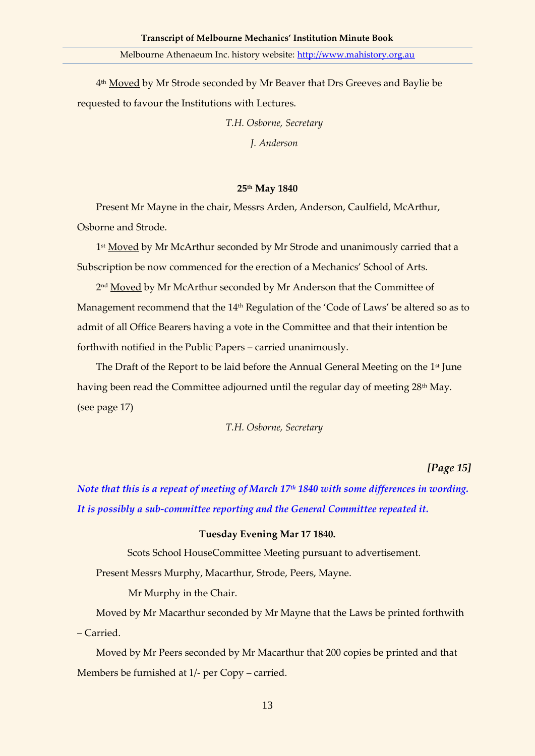4<sup>th</sup> <u>Moved</u> by Mr Strode seconded by Mr Beaver that Drs Greeves and Baylie be requested to favour the Institutions with Lectures.

> *T.H. Osborne, Secretary J. Anderson*

#### **25th May 1840**

Present Mr Mayne in the chair, Messrs Arden, Anderson, Caulfield, McArthur, Osborne and Strode.

1<sup>st</sup> <u>Moved</u> by Mr McArthur seconded by Mr Strode and unanimously carried that a Subscription be now commenced for the erection of a Mechanics' School of Arts.

2<sup>nd</sup> <u>Moved</u> by Mr McArthur seconded by Mr Anderson that the Committee of Management recommend that the 14<sup>th</sup> Regulation of the 'Code of Laws' be altered so as to admit of all Office Bearers having a vote in the Committee and that their intention be forthwith notified in the Public Papers – carried unanimously.

The Draft of the Report to be laid before the Annual General Meeting on the 1<sup>st</sup> June having been read the Committee adjourned until the regular day of meeting 28<sup>th</sup> May. (see page 17)

*T.H. Osborne, Secretary*

*[Page 15]*

*Note that this is a repeat of meeting of March 17th 1840 with some differences in wording. It is possibly a sub-committee reporting and the General Committee repeated it.*

### **Tuesday Evening Mar 17 1840.**

Scots School HouseCommittee Meeting pursuant to advertisement.

Present Messrs Murphy, Macarthur, Strode, Peers, Mayne.

Mr Murphy in the Chair.

Moved by Mr Macarthur seconded by Mr Mayne that the Laws be printed forthwith – Carried.

Moved by Mr Peers seconded by Mr Macarthur that 200 copies be printed and that Members be furnished at 1/- per Copy – carried.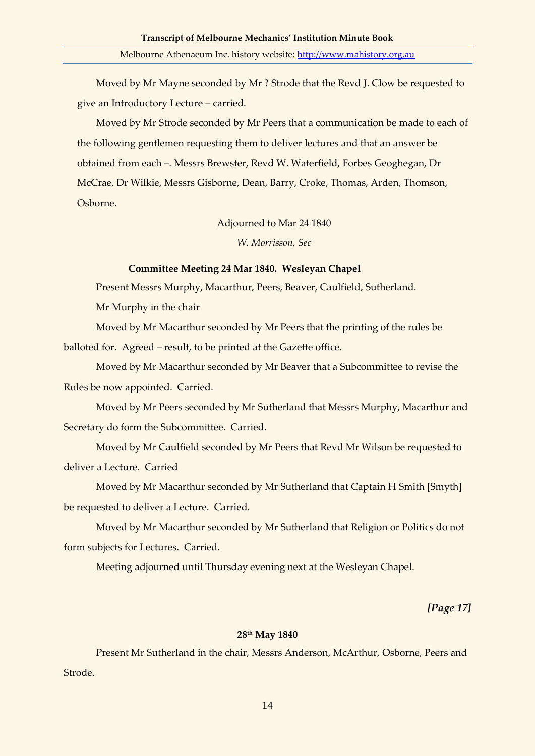Moved by Mr Mayne seconded by Mr ? Strode that the Revd J. Clow be requested to give an Introductory Lecture – carried.

Moved by Mr Strode seconded by Mr Peers that a communication be made to each of the following gentlemen requesting them to deliver lectures and that an answer be obtained from each –. Messrs Brewster, Revd W. Waterfield, Forbes Geoghegan, Dr McCrae, Dr Wilkie, Messrs Gisborne, Dean, Barry, Croke, Thomas, Arden, Thomson, Osborne.

Adjourned to Mar 24 1840

*W. Morrisson, Sec*

#### **Committee Meeting 24 Mar 1840. Wesleyan Chapel**

Present Messrs Murphy, Macarthur, Peers, Beaver, Caulfield, Sutherland.

Mr Murphy in the chair

Moved by Mr Macarthur seconded by Mr Peers that the printing of the rules be balloted for. Agreed – result, to be printed at the Gazette office.

Moved by Mr Macarthur seconded by Mr Beaver that a Subcommittee to revise the Rules be now appointed. Carried.

Moved by Mr Peers seconded by Mr Sutherland that Messrs Murphy, Macarthur and Secretary do form the Subcommittee. Carried.

Moved by Mr Caulfield seconded by Mr Peers that Revd Mr Wilson be requested to deliver a Lecture. Carried

Moved by Mr Macarthur seconded by Mr Sutherland that Captain H Smith [Smyth] be requested to deliver a Lecture. Carried.

Moved by Mr Macarthur seconded by Mr Sutherland that Religion or Politics do not form subjects for Lectures. Carried.

Meeting adjourned until Thursday evening next at the Wesleyan Chapel.

*[Page 17]*

## **28th May 1840**

Present Mr Sutherland in the chair, Messrs Anderson, McArthur, Osborne, Peers and Strode.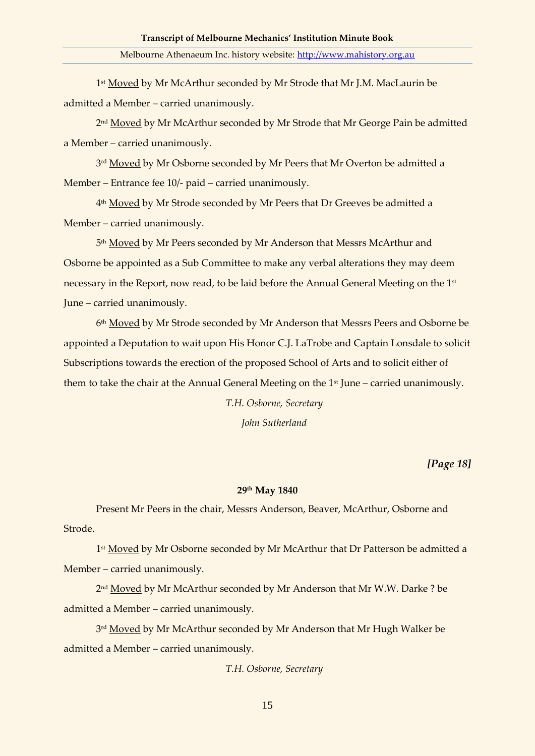1<sup>st</sup> <u>Moved</u> by Mr McArthur seconded by Mr Strode that Mr J.M. MacLaurin be admitted a Member – carried unanimously.

2<sup>nd</sup> <u>Moved</u> by Mr McArthur seconded by Mr Strode that Mr George Pain be admitted a Member – carried unanimously.

3<sup>rd</sup> <u>Moved</u> by Mr Osborne seconded by Mr Peers that Mr Overton be admitted a Member – Entrance fee 10/- paid – carried unanimously.

4th <u>Moved</u> by Mr Strode seconded by Mr Peers that Dr Greeves be admitted a Member – carried unanimously.

5<sup>th</sup> <u>Moved</u> by Mr Peers seconded by Mr Anderson that Messrs McArthur and Osborne be appointed as a Sub Committee to make any verbal alterations they may deem necessary in the Report, now read, to be laid before the Annual General Meeting on the 1st June – carried unanimously.

6<sup>th</sup> <u>Moved</u> by Mr Strode seconded by Mr Anderson that Messrs Peers and Osborne be appointed a Deputation to wait upon His Honor C.J. LaTrobe and Captain Lonsdale to solicit Subscriptions towards the erection of the proposed School of Arts and to solicit either of them to take the chair at the Annual General Meeting on the 1<sup>st</sup> June – carried unanimously.

*T.H. Osborne, Secretary*

*John Sutherland*

*[Page 18]*

#### **29th May 1840**

Present Mr Peers in the chair, Messrs Anderson, Beaver, McArthur, Osborne and Strode.

1<sup>st</sup> <u>Moved</u> by Mr Osborne seconded by Mr McArthur that Dr Patterson be admitted a Member – carried unanimously.

2<sup>nd</sup> <u>Moved</u> by Mr McArthur seconded by Mr Anderson that Mr W.W. Darke ? be admitted a Member – carried unanimously.

<sup>3rd</sup> <u>Moved</u> by Mr McArthur seconded by Mr Anderson that Mr Hugh Walker be admitted a Member – carried unanimously.

*T.H. Osborne, Secretary*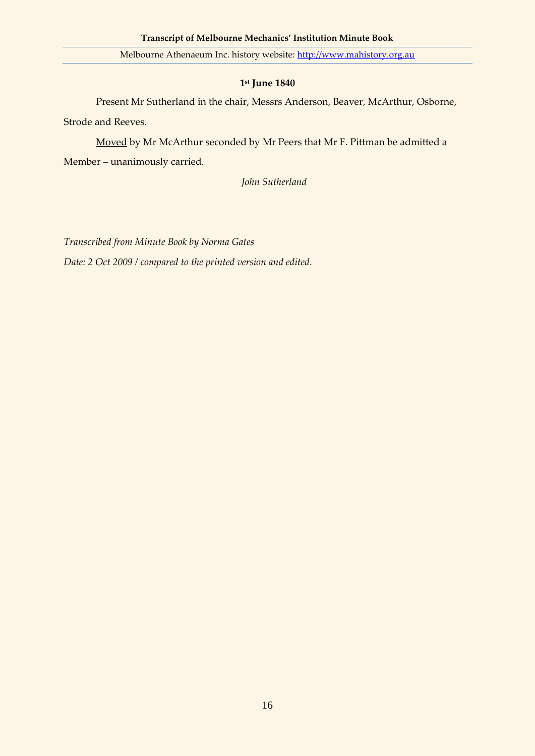# **1 st June 1840**

Present Mr Sutherland in the chair, Messrs Anderson, Beaver, McArthur, Osborne, Strode and Reeves.

Moved by Mr McArthur seconded by Mr Peers that Mr F. Pittman be admitted a Member – unanimously carried.

*John Sutherland*

*Transcribed from Minute Book by Norma Gates Date: 2 Oct 2009 / compared to the printed version and edited.*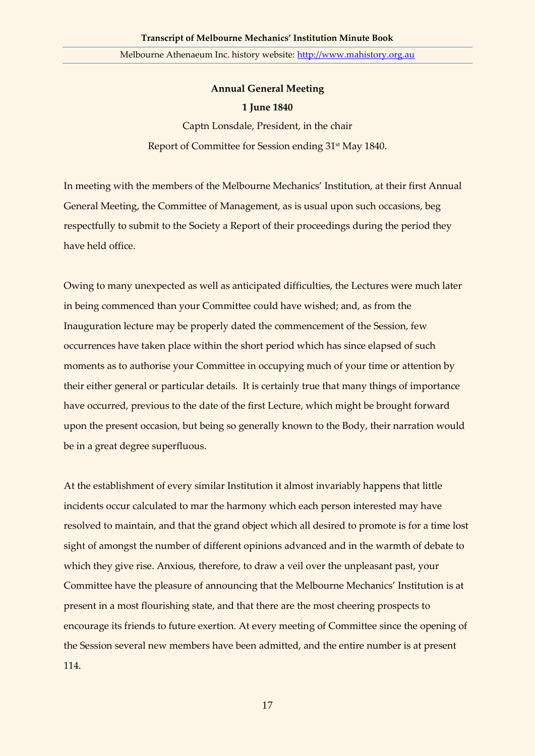# **Annual General Meeting 1 June 1840**

Captn Lonsdale, President, in the chair Report of Committee for Session ending 31st May 1840.

In meeting with the members of the Melbourne Mechanics' Institution, at their first Annual General Meeting, the Committee of Management, as is usual upon such occasions, beg respectfully to submit to the Society a Report of their proceedings during the period they have held office.

Owing to many unexpected as well as anticipated difficulties, the Lectures were much later in being commenced than your Committee could have wished; and, as from the Inauguration lecture may be properly dated the commencement of the Session, few occurrences have taken place within the short period which has since elapsed of such moments as to authorise your Committee in occupying much of your time or attention by their either general or particular details. It is certainly true that many things of importance have occurred, previous to the date of the first Lecture, which might be brought forward upon the present occasion, but being so generally known to the Body, their narration would be in a great degree superfluous.

At the establishment of every similar Institution it almost invariably happens that little incidents occur calculated to mar the harmony which each person interested may have resolved to maintain, and that the grand object which all desired to promote is for a time lost sight of amongst the number of different opinions advanced and in the warmth of debate to which they give rise. Anxious, therefore, to draw a veil over the unpleasant past, your Committee have the pleasure of announcing that the Melbourne Mechanics' Institution is at present in a most flourishing state, and that there are the most cheering prospects to encourage its friends to future exertion. At every meeting of Committee since the opening of the Session several new members have been admitted, and the entire number is at present 114.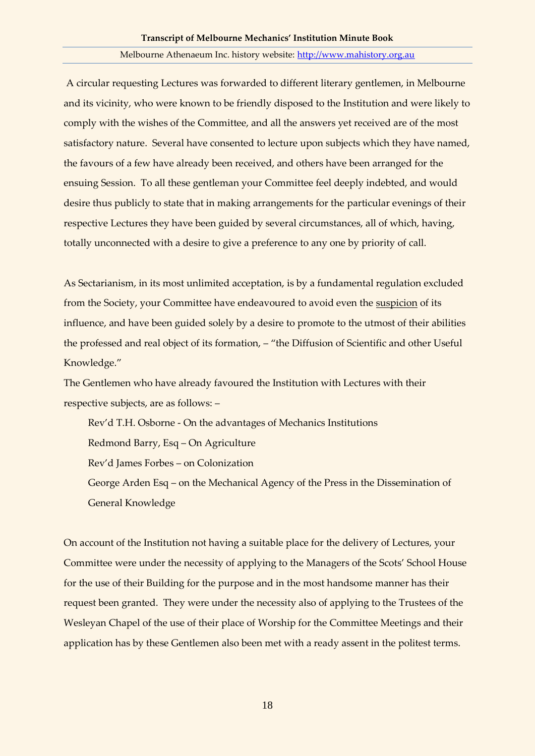A circular requesting Lectures was forwarded to different literary gentlemen, in Melbourne and its vicinity, who were known to be friendly disposed to the Institution and were likely to comply with the wishes of the Committee, and all the answers yet received are of the most satisfactory nature. Several have consented to lecture upon subjects which they have named, the favours of a few have already been received, and others have been arranged for the ensuing Session. To all these gentleman your Committee feel deeply indebted, and would desire thus publicly to state that in making arrangements for the particular evenings of their respective Lectures they have been guided by several circumstances, all of which, having, totally unconnected with a desire to give a preference to any one by priority of call.

As Sectarianism, in its most unlimited acceptation, is by a fundamental regulation excluded from the Society, your Committee have endeavoured to avoid even the suspicion of its influence, and have been guided solely by a desire to promote to the utmost of their abilities the professed and real object of its formation, – "the Diffusion of Scientific and other Useful Knowledge."

The Gentlemen who have already favoured the Institution with Lectures with their respective subjects, are as follows: –

Rev'd T.H. Osborne - On the advantages of Mechanics Institutions Redmond Barry, Esq – On Agriculture Rev'd James Forbes – on Colonization George Arden Esq – on the Mechanical Agency of the Press in the Dissemination of General Knowledge

On account of the Institution not having a suitable place for the delivery of Lectures, your Committee were under the necessity of applying to the Managers of the Scots' School House for the use of their Building for the purpose and in the most handsome manner has their request been granted. They were under the necessity also of applying to the Trustees of the Wesleyan Chapel of the use of their place of Worship for the Committee Meetings and their application has by these Gentlemen also been met with a ready assent in the politest terms.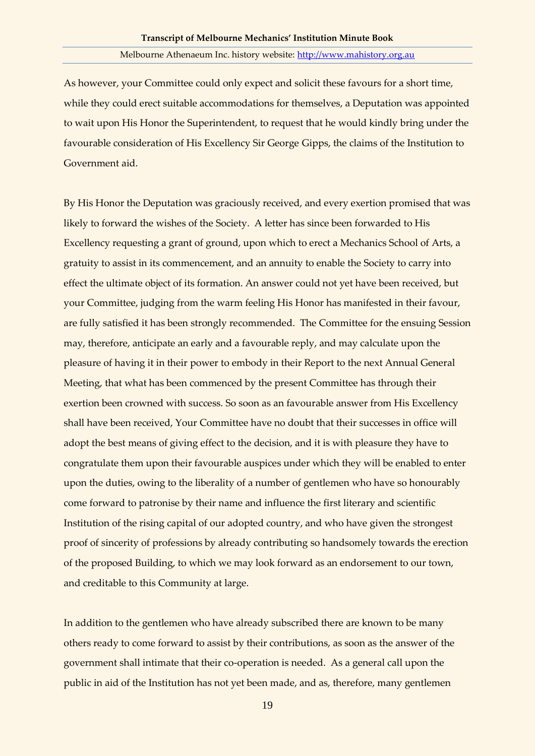As however, your Committee could only expect and solicit these favours for a short time, while they could erect suitable accommodations for themselves, a Deputation was appointed to wait upon His Honor the Superintendent, to request that he would kindly bring under the favourable consideration of His Excellency Sir George Gipps, the claims of the Institution to Government aid.

By His Honor the Deputation was graciously received, and every exertion promised that was likely to forward the wishes of the Society. A letter has since been forwarded to His Excellency requesting a grant of ground, upon which to erect a Mechanics School of Arts, a gratuity to assist in its commencement, and an annuity to enable the Society to carry into effect the ultimate object of its formation. An answer could not yet have been received, but your Committee, judging from the warm feeling His Honor has manifested in their favour, are fully satisfied it has been strongly recommended. The Committee for the ensuing Session may, therefore, anticipate an early and a favourable reply, and may calculate upon the pleasure of having it in their power to embody in their Report to the next Annual General Meeting, that what has been commenced by the present Committee has through their exertion been crowned with success. So soon as an favourable answer from His Excellency shall have been received, Your Committee have no doubt that their successes in office will adopt the best means of giving effect to the decision, and it is with pleasure they have to congratulate them upon their favourable auspices under which they will be enabled to enter upon the duties, owing to the liberality of a number of gentlemen who have so honourably come forward to patronise by their name and influence the first literary and scientific Institution of the rising capital of our adopted country, and who have given the strongest proof of sincerity of professions by already contributing so handsomely towards the erection of the proposed Building, to which we may look forward as an endorsement to our town, and creditable to this Community at large.

In addition to the gentlemen who have already subscribed there are known to be many others ready to come forward to assist by their contributions, as soon as the answer of the government shall intimate that their co-operation is needed. As a general call upon the public in aid of the Institution has not yet been made, and as, therefore, many gentlemen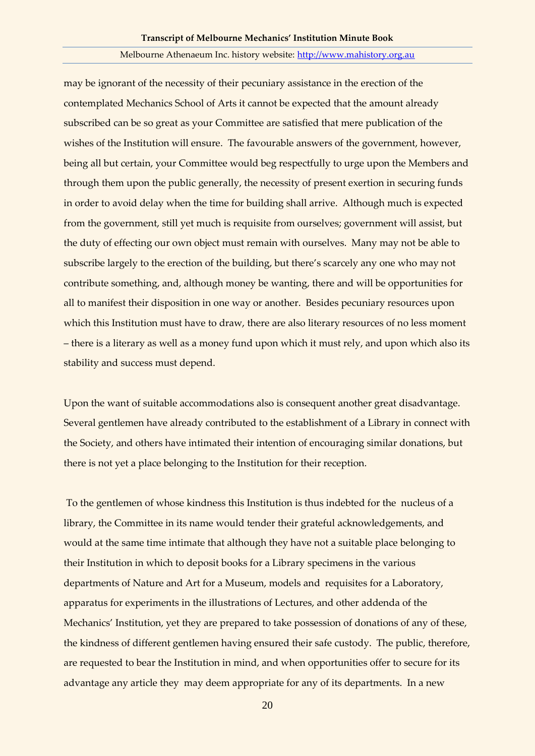may be ignorant of the necessity of their pecuniary assistance in the erection of the contemplated Mechanics School of Arts it cannot be expected that the amount already subscribed can be so great as your Committee are satisfied that mere publication of the wishes of the Institution will ensure. The favourable answers of the government, however, being all but certain, your Committee would beg respectfully to urge upon the Members and through them upon the public generally, the necessity of present exertion in securing funds in order to avoid delay when the time for building shall arrive. Although much is expected from the government, still yet much is requisite from ourselves; government will assist, but the duty of effecting our own object must remain with ourselves. Many may not be able to subscribe largely to the erection of the building, but there's scarcely any one who may not contribute something, and, although money be wanting, there and will be opportunities for all to manifest their disposition in one way or another. Besides pecuniary resources upon which this Institution must have to draw, there are also literary resources of no less moment – there is a literary as well as a money fund upon which it must rely, and upon which also its stability and success must depend.

Upon the want of suitable accommodations also is consequent another great disadvantage. Several gentlemen have already contributed to the establishment of a Library in connect with the Society, and others have intimated their intention of encouraging similar donations, but there is not yet a place belonging to the Institution for their reception.

To the gentlemen of whose kindness this Institution is thus indebted for the nucleus of a library, the Committee in its name would tender their grateful acknowledgements, and would at the same time intimate that although they have not a suitable place belonging to their Institution in which to deposit books for a Library specimens in the various departments of Nature and Art for a Museum, models and requisites for a Laboratory, apparatus for experiments in the illustrations of Lectures, and other addenda of the Mechanics' Institution, yet they are prepared to take possession of donations of any of these, the kindness of different gentlemen having ensured their safe custody. The public, therefore, are requested to bear the Institution in mind, and when opportunities offer to secure for its advantage any article they may deem appropriate for any of its departments. In a new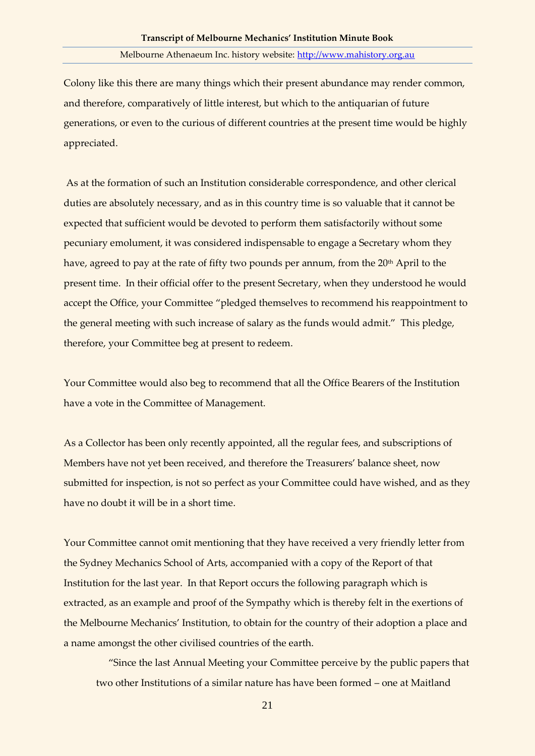Colony like this there are many things which their present abundance may render common, and therefore, comparatively of little interest, but which to the antiquarian of future generations, or even to the curious of different countries at the present time would be highly appreciated.

As at the formation of such an Institution considerable correspondence, and other clerical duties are absolutely necessary, and as in this country time is so valuable that it cannot be expected that sufficient would be devoted to perform them satisfactorily without some pecuniary emolument, it was considered indispensable to engage a Secretary whom they have, agreed to pay at the rate of fifty two pounds per annum, from the 20<sup>th</sup> April to the present time. In their official offer to the present Secretary, when they understood he would accept the Office, your Committee "pledged themselves to recommend his reappointment to the general meeting with such increase of salary as the funds would admit." This pledge, therefore, your Committee beg at present to redeem.

Your Committee would also beg to recommend that all the Office Bearers of the Institution have a vote in the Committee of Management.

As a Collector has been only recently appointed, all the regular fees, and subscriptions of Members have not yet been received, and therefore the Treasurers' balance sheet, now submitted for inspection, is not so perfect as your Committee could have wished, and as they have no doubt it will be in a short time.

Your Committee cannot omit mentioning that they have received a very friendly letter from the Sydney Mechanics School of Arts, accompanied with a copy of the Report of that Institution for the last year. In that Report occurs the following paragraph which is extracted, as an example and proof of the Sympathy which is thereby felt in the exertions of the Melbourne Mechanics' Institution, to obtain for the country of their adoption a place and a name amongst the other civilised countries of the earth.

 "Since the last Annual Meeting your Committee perceive by the public papers that two other Institutions of a similar nature has have been formed – one at Maitland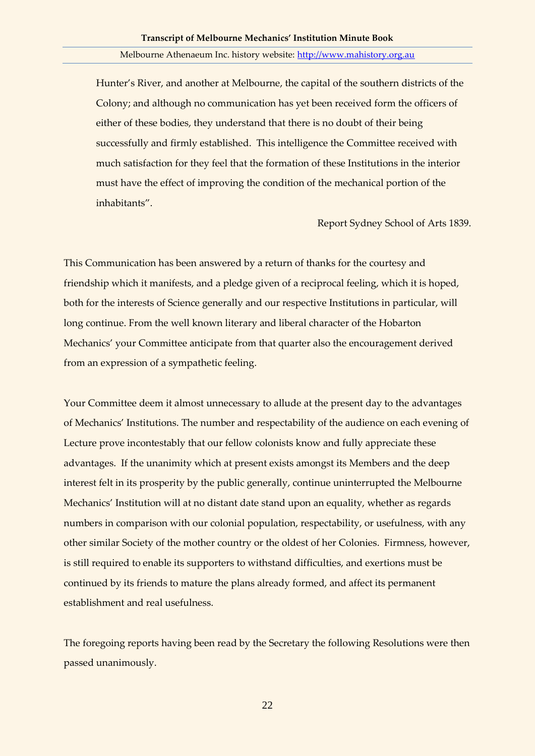Hunter's River, and another at Melbourne, the capital of the southern districts of the Colony; and although no communication has yet been received form the officers of either of these bodies, they understand that there is no doubt of their being successfully and firmly established. This intelligence the Committee received with much satisfaction for they feel that the formation of these Institutions in the interior must have the effect of improving the condition of the mechanical portion of the inhabitants".

Report Sydney School of Arts 1839.

This Communication has been answered by a return of thanks for the courtesy and friendship which it manifests, and a pledge given of a reciprocal feeling, which it is hoped, both for the interests of Science generally and our respective Institutions in particular, will long continue. From the well known literary and liberal character of the Hobarton Mechanics' your Committee anticipate from that quarter also the encouragement derived from an expression of a sympathetic feeling.

Your Committee deem it almost unnecessary to allude at the present day to the advantages of Mechanics' Institutions. The number and respectability of the audience on each evening of Lecture prove incontestably that our fellow colonists know and fully appreciate these advantages. If the unanimity which at present exists amongst its Members and the deep interest felt in its prosperity by the public generally, continue uninterrupted the Melbourne Mechanics' Institution will at no distant date stand upon an equality, whether as regards numbers in comparison with our colonial population, respectability, or usefulness, with any other similar Society of the mother country or the oldest of her Colonies. Firmness, however, is still required to enable its supporters to withstand difficulties, and exertions must be continued by its friends to mature the plans already formed, and affect its permanent establishment and real usefulness.

The foregoing reports having been read by the Secretary the following Resolutions were then passed unanimously.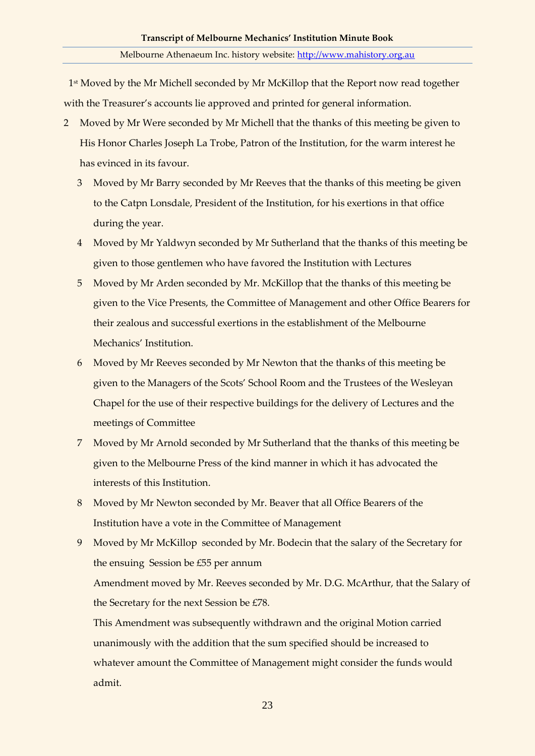1<sup>st</sup> Moved by the Mr Michell seconded by Mr McKillop that the Report now read together with the Treasurer's accounts lie approved and printed for general information.

- 2 Moved by Mr Were seconded by Mr Michell that the thanks of this meeting be given to His Honor Charles Joseph La Trobe, Patron of the Institution, for the warm interest he has evinced in its favour.
	- 3 Moved by Mr Barry seconded by Mr Reeves that the thanks of this meeting be given to the Catpn Lonsdale, President of the Institution, for his exertions in that office during the year.
	- 4 Moved by Mr Yaldwyn seconded by Mr Sutherland that the thanks of this meeting be given to those gentlemen who have favored the Institution with Lectures
	- 5 Moved by Mr Arden seconded by Mr. McKillop that the thanks of this meeting be given to the Vice Presents, the Committee of Management and other Office Bearers for their zealous and successful exertions in the establishment of the Melbourne Mechanics' Institution.
	- 6 Moved by Mr Reeves seconded by Mr Newton that the thanks of this meeting be given to the Managers of the Scots' School Room and the Trustees of the Wesleyan Chapel for the use of their respective buildings for the delivery of Lectures and the meetings of Committee
	- 7 Moved by Mr Arnold seconded by Mr Sutherland that the thanks of this meeting be given to the Melbourne Press of the kind manner in which it has advocated the interests of this Institution.
	- 8 Moved by Mr Newton seconded by Mr. Beaver that all Office Bearers of the Institution have a vote in the Committee of Management
	- 9 Moved by Mr McKillop seconded by Mr. Bodecin that the salary of the Secretary for the ensuing Session be £55 per annum

Amendment moved by Mr. Reeves seconded by Mr. D.G. McArthur, that the Salary of the Secretary for the next Session be £78.

This Amendment was subsequently withdrawn and the original Motion carried unanimously with the addition that the sum specified should be increased to whatever amount the Committee of Management might consider the funds would admit.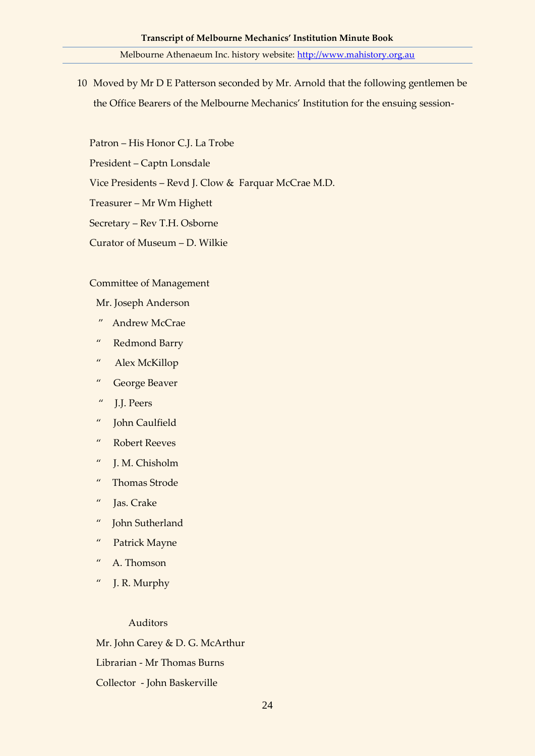10 Moved by Mr D E Patterson seconded by Mr. Arnold that the following gentlemen be the Office Bearers of the Melbourne Mechanics' Institution for the ensuing session-

Patron – His Honor C.J. La Trobe

President – Captn Lonsdale

Vice Presidents – Revd J. Clow & Farquar McCrae M.D.

Treasurer – Mr Wm Highett

Secretary – Rev T.H. Osborne

Curator of Museum – D. Wilkie

## Committee of Management

Mr. Joseph Anderson

- " Andrew McCrae
- " Redmond Barry
- " Alex McKillop
- " George Beaver
- " J.J. Peers
- " John Caulfield
- " Robert Reeves
- " J. M. Chisholm
- " Thomas Strode
- " Jas. Crake
- " John Sutherland
- " Patrick Mayne
- " A. Thomson
- " J. R. Murphy

## Auditors

Mr. John Carey & D. G. McArthur Librarian - Mr Thomas Burns Collector - John Baskerville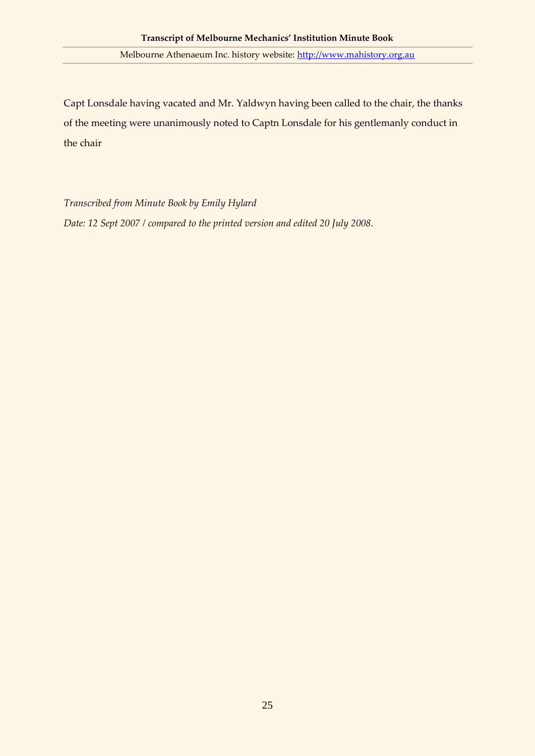Capt Lonsdale having vacated and Mr. Yaldwyn having been called to the chair, the thanks of the meeting were unanimously noted to Captn Lonsdale for his gentlemanly conduct in the chair

*Transcribed from Minute Book by Emily Hylard Date: 12 Sept 2007 / compared to the printed version and edited 20 July 2008.*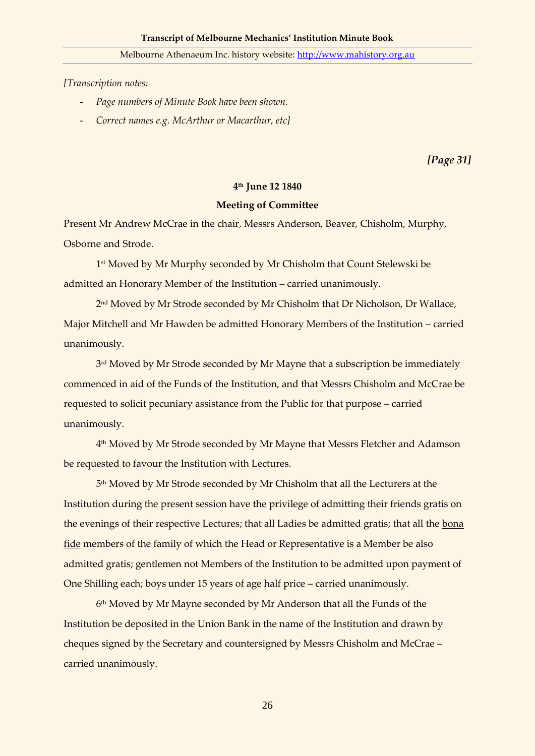*[Transcription notes:*

- *Page numbers of Minute Book have been shown.*
- *Correct names e.g. McArthur or Macarthur, etc]*

*[Page 31]*

### **4 th June 12 1840**

## **Meeting of Committee**

Present Mr Andrew McCrae in the chair, Messrs Anderson, Beaver, Chisholm, Murphy, Osborne and Strode.

1 st Moved by Mr Murphy seconded by Mr Chisholm that Count Stelewski be admitted an Honorary Member of the Institution – carried unanimously.

2 nd Moved by Mr Strode seconded by Mr Chisholm that Dr Nicholson, Dr Wallace, Major Mitchell and Mr Hawden be admitted Honorary Members of the Institution – carried unanimously.

3 rd Moved by Mr Strode seconded by Mr Mayne that a subscription be immediately commenced in aid of the Funds of the Institution, and that Messrs Chisholm and McCrae be requested to solicit pecuniary assistance from the Public for that purpose – carried unanimously.

4 th Moved by Mr Strode seconded by Mr Mayne that Messrs Fletcher and Adamson be requested to favour the Institution with Lectures.

5 th Moved by Mr Strode seconded by Mr Chisholm that all the Lecturers at the Institution during the present session have the privilege of admitting their friends gratis on the evenings of their respective Lectures; that all Ladies be admitted gratis; that all the bona fide members of the family of which the Head or Representative is a Member be also admitted gratis; gentlemen not Members of the Institution to be admitted upon payment of One Shilling each; boys under 15 years of age half price – carried unanimously.

6 th Moved by Mr Mayne seconded by Mr Anderson that all the Funds of the Institution be deposited in the Union Bank in the name of the Institution and drawn by cheques signed by the Secretary and countersigned by Messrs Chisholm and McCrae – carried unanimously.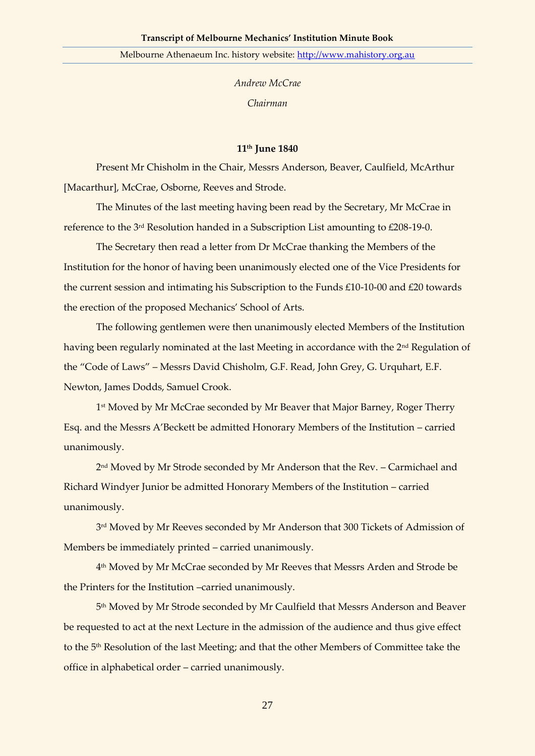*Andrew McCrae Chairman*

## **11th June 1840**

Present Mr Chisholm in the Chair, Messrs Anderson, Beaver, Caulfield, McArthur [Macarthur], McCrae, Osborne, Reeves and Strode.

The Minutes of the last meeting having been read by the Secretary, Mr McCrae in reference to the 3rd Resolution handed in a Subscription List amounting to £208-19-0.

The Secretary then read a letter from Dr McCrae thanking the Members of the Institution for the honor of having been unanimously elected one of the Vice Presidents for the current session and intimating his Subscription to the Funds £10-10-00 and £20 towards the erection of the proposed Mechanics' School of Arts.

The following gentlemen were then unanimously elected Members of the Institution having been regularly nominated at the last Meeting in accordance with the 2<sup>nd</sup> Regulation of the "Code of Laws" – Messrs David Chisholm, G.F. Read, John Grey, G. Urquhart, E.F. Newton, James Dodds, Samuel Crook.

1 st Moved by Mr McCrae seconded by Mr Beaver that Major Barney, Roger Therry Esq. and the Messrs A'Beckett be admitted Honorary Members of the Institution – carried unanimously.

2 nd Moved by Mr Strode seconded by Mr Anderson that the Rev. – Carmichael and Richard Windyer Junior be admitted Honorary Members of the Institution – carried unanimously.

3 rd Moved by Mr Reeves seconded by Mr Anderson that 300 Tickets of Admission of Members be immediately printed – carried unanimously.

4 th Moved by Mr McCrae seconded by Mr Reeves that Messrs Arden and Strode be the Printers for the Institution –carried unanimously.

5 th Moved by Mr Strode seconded by Mr Caulfield that Messrs Anderson and Beaver be requested to act at the next Lecture in the admission of the audience and thus give effect to the 5th Resolution of the last Meeting; and that the other Members of Committee take the office in alphabetical order – carried unanimously.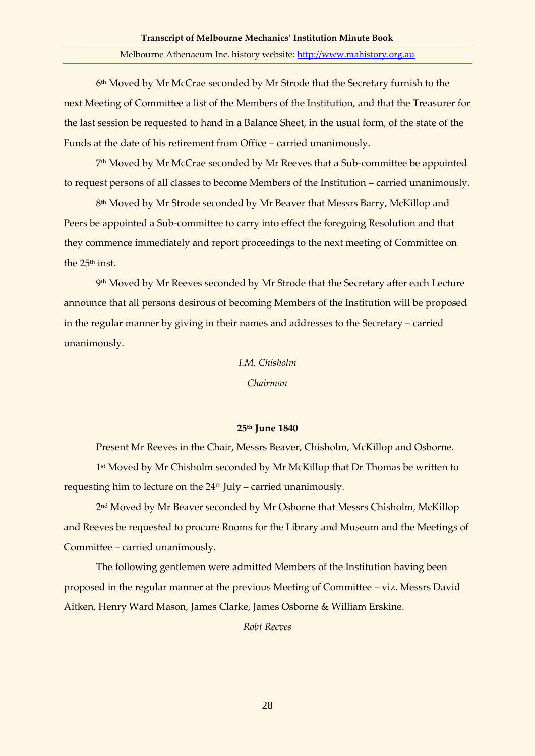6 th Moved by Mr McCrae seconded by Mr Strode that the Secretary furnish to the next Meeting of Committee a list of the Members of the Institution, and that the Treasurer for the last session be requested to hand in a Balance Sheet, in the usual form, of the state of the Funds at the date of his retirement from Office – carried unanimously.

7 th Moved by Mr McCrae seconded by Mr Reeves that a Sub-committee be appointed to request persons of all classes to become Members of the Institution – carried unanimously.

8 th Moved by Mr Strode seconded by Mr Beaver that Messrs Barry, McKillop and Peers be appointed a Sub-committee to carry into effect the foregoing Resolution and that they commence immediately and report proceedings to the next meeting of Committee on the 25<sup>th</sup> inst.

9 th Moved by Mr Reeves seconded by Mr Strode that the Secretary after each Lecture announce that all persons desirous of becoming Members of the Institution will be proposed in the regular manner by giving in their names and addresses to the Secretary – carried unanimously.

#### *I.M. Chisholm*

#### *Chairman*

## **25th June 1840**

Present Mr Reeves in the Chair, Messrs Beaver, Chisholm, McKillop and Osborne. 1 st Moved by Mr Chisholm seconded by Mr McKillop that Dr Thomas be written to requesting him to lecture on the  $24<sup>th</sup>$  July – carried unanimously.

2 nd Moved by Mr Beaver seconded by Mr Osborne that Messrs Chisholm, McKillop and Reeves be requested to procure Rooms for the Library and Museum and the Meetings of Committee – carried unanimously.

The following gentlemen were admitted Members of the Institution having been proposed in the regular manner at the previous Meeting of Committee – viz. Messrs David Aitken, Henry Ward Mason, James Clarke, James Osborne & William Erskine.

*Robt Reeves*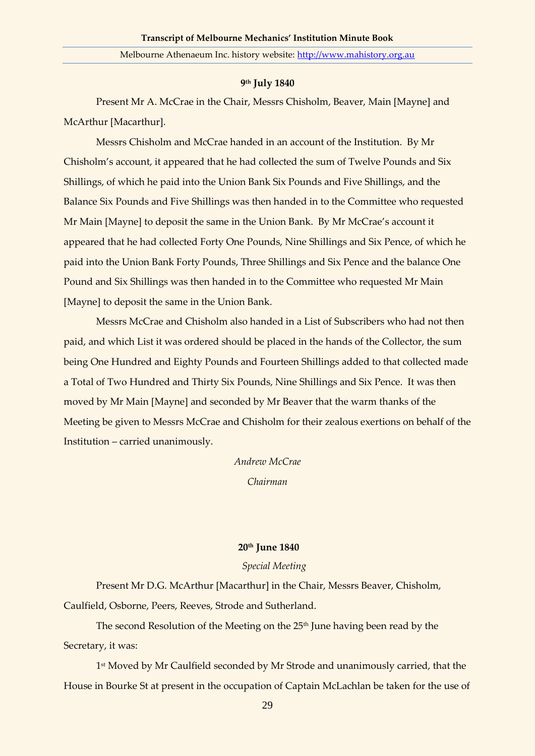# **9 th July 1840**

Present Mr A. McCrae in the Chair, Messrs Chisholm, Beaver, Main [Mayne] and McArthur [Macarthur].

Messrs Chisholm and McCrae handed in an account of the Institution. By Mr Chisholm's account, it appeared that he had collected the sum of Twelve Pounds and Six Shillings, of which he paid into the Union Bank Six Pounds and Five Shillings, and the Balance Six Pounds and Five Shillings was then handed in to the Committee who requested Mr Main [Mayne] to deposit the same in the Union Bank. By Mr McCrae's account it appeared that he had collected Forty One Pounds, Nine Shillings and Six Pence, of which he paid into the Union Bank Forty Pounds, Three Shillings and Six Pence and the balance One Pound and Six Shillings was then handed in to the Committee who requested Mr Main [Mayne] to deposit the same in the Union Bank.

Messrs McCrae and Chisholm also handed in a List of Subscribers who had not then paid, and which List it was ordered should be placed in the hands of the Collector, the sum being One Hundred and Eighty Pounds and Fourteen Shillings added to that collected made a Total of Two Hundred and Thirty Six Pounds, Nine Shillings and Six Pence. It was then moved by Mr Main [Mayne] and seconded by Mr Beaver that the warm thanks of the Meeting be given to Messrs McCrae and Chisholm for their zealous exertions on behalf of the Institution – carried unanimously.

> *Andrew McCrae Chairman*

#### **20th June 1840**

## *Special Meeting*

Present Mr D.G. McArthur [Macarthur] in the Chair, Messrs Beaver, Chisholm, Caulfield, Osborne, Peers, Reeves, Strode and Sutherland.

The second Resolution of the Meeting on the 25<sup>th</sup> June having been read by the Secretary, it was:

1 st Moved by Mr Caulfield seconded by Mr Strode and unanimously carried, that the House in Bourke St at present in the occupation of Captain McLachlan be taken for the use of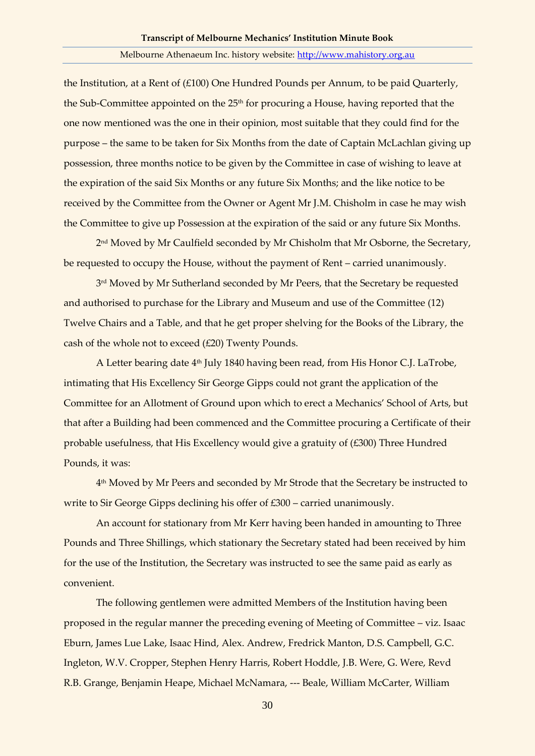the Institution, at a Rent of (£100) One Hundred Pounds per Annum, to be paid Quarterly, the Sub-Committee appointed on the  $25<sup>th</sup>$  for procuring a House, having reported that the one now mentioned was the one in their opinion, most suitable that they could find for the purpose – the same to be taken for Six Months from the date of Captain McLachlan giving up possession, three months notice to be given by the Committee in case of wishing to leave at the expiration of the said Six Months or any future Six Months; and the like notice to be received by the Committee from the Owner or Agent Mr J.M. Chisholm in case he may wish the Committee to give up Possession at the expiration of the said or any future Six Months.

2 nd Moved by Mr Caulfield seconded by Mr Chisholm that Mr Osborne, the Secretary, be requested to occupy the House, without the payment of Rent – carried unanimously.

3 rd Moved by Mr Sutherland seconded by Mr Peers, that the Secretary be requested and authorised to purchase for the Library and Museum and use of the Committee (12) Twelve Chairs and a Table, and that he get proper shelving for the Books of the Library, the cash of the whole not to exceed (£20) Twenty Pounds.

A Letter bearing date 4th July 1840 having been read, from His Honor C.J. LaTrobe, intimating that His Excellency Sir George Gipps could not grant the application of the Committee for an Allotment of Ground upon which to erect a Mechanics' School of Arts, but that after a Building had been commenced and the Committee procuring a Certificate of their probable usefulness, that His Excellency would give a gratuity of  $(£300)$  Three Hundred Pounds, it was:

4 th Moved by Mr Peers and seconded by Mr Strode that the Secretary be instructed to write to Sir George Gipps declining his offer of £300 – carried unanimously.

An account for stationary from Mr Kerr having been handed in amounting to Three Pounds and Three Shillings, which stationary the Secretary stated had been received by him for the use of the Institution, the Secretary was instructed to see the same paid as early as convenient.

The following gentlemen were admitted Members of the Institution having been proposed in the regular manner the preceding evening of Meeting of Committee – viz. Isaac Eburn, James Lue Lake, Isaac Hind, Alex. Andrew, Fredrick Manton, D.S. Campbell, G.C. Ingleton, W.V. Cropper, Stephen Henry Harris, Robert Hoddle, J.B. Were, G. Were, Revd R.B. Grange, Benjamin Heape, Michael McNamara, --- Beale, William McCarter, William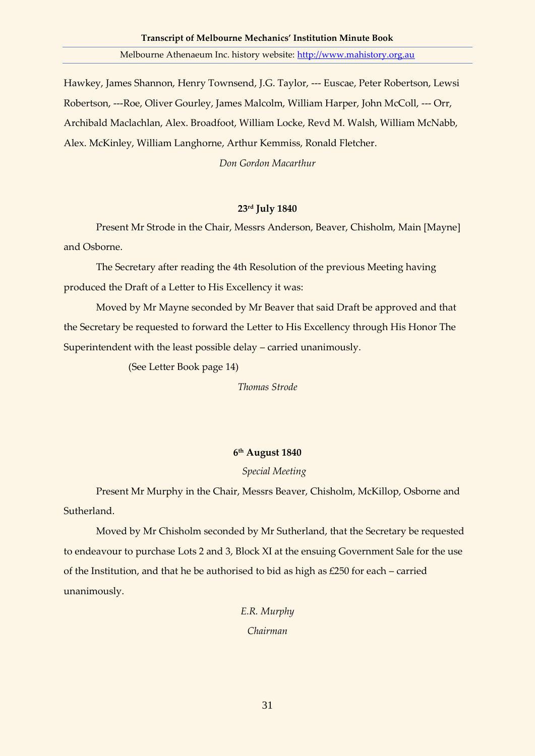Hawkey, James Shannon, Henry Townsend, J.G. Taylor, --- Euscae, Peter Robertson, Lewsi Robertson, ---Roe, Oliver Gourley, James Malcolm, William Harper, John McColl, --- Orr, Archibald Maclachlan, Alex. Broadfoot, William Locke, Revd M. Walsh, William McNabb, Alex. McKinley, William Langhorne, Arthur Kemmiss, Ronald Fletcher.

*Don Gordon Macarthur*

# **23rd July 1840**

Present Mr Strode in the Chair, Messrs Anderson, Beaver, Chisholm, Main [Mayne] and Osborne.

The Secretary after reading the 4th Resolution of the previous Meeting having produced the Draft of a Letter to His Excellency it was:

Moved by Mr Mayne seconded by Mr Beaver that said Draft be approved and that the Secretary be requested to forward the Letter to His Excellency through His Honor The Superintendent with the least possible delay – carried unanimously.

(See Letter Book page 14)

*Thomas Strode*

# **6 th August 1840**

# *Special Meeting*

Present Mr Murphy in the Chair, Messrs Beaver, Chisholm, McKillop, Osborne and Sutherland.

Moved by Mr Chisholm seconded by Mr Sutherland, that the Secretary be requested to endeavour to purchase Lots 2 and 3, Block XI at the ensuing Government Sale for the use of the Institution, and that he be authorised to bid as high as £250 for each – carried unanimously.

> *E.R. Murphy Chairman*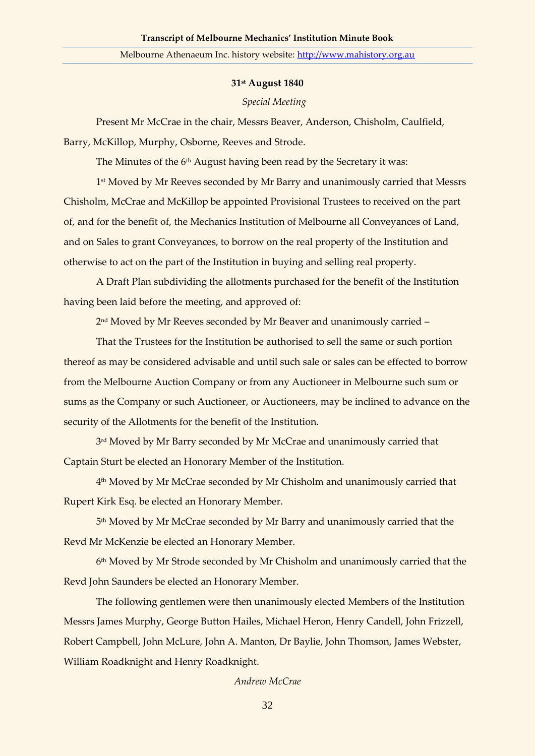#### **31st August 1840**

#### *Special Meeting*

Present Mr McCrae in the chair, Messrs Beaver, Anderson, Chisholm, Caulfield, Barry, McKillop, Murphy, Osborne, Reeves and Strode.

The Minutes of the 6<sup>th</sup> August having been read by the Secretary it was:

1 st Moved by Mr Reeves seconded by Mr Barry and unanimously carried that Messrs Chisholm, McCrae and McKillop be appointed Provisional Trustees to received on the part of, and for the benefit of, the Mechanics Institution of Melbourne all Conveyances of Land, and on Sales to grant Conveyances, to borrow on the real property of the Institution and otherwise to act on the part of the Institution in buying and selling real property.

A Draft Plan subdividing the allotments purchased for the benefit of the Institution having been laid before the meeting, and approved of:

2 nd Moved by Mr Reeves seconded by Mr Beaver and unanimously carried –

That the Trustees for the Institution be authorised to sell the same or such portion thereof as may be considered advisable and until such sale or sales can be effected to borrow from the Melbourne Auction Company or from any Auctioneer in Melbourne such sum or sums as the Company or such Auctioneer, or Auctioneers, may be inclined to advance on the security of the Allotments for the benefit of the Institution.

3 rd Moved by Mr Barry seconded by Mr McCrae and unanimously carried that Captain Sturt be elected an Honorary Member of the Institution.

4 th Moved by Mr McCrae seconded by Mr Chisholm and unanimously carried that Rupert Kirk Esq. be elected an Honorary Member.

5 th Moved by Mr McCrae seconded by Mr Barry and unanimously carried that the Revd Mr McKenzie be elected an Honorary Member.

6 th Moved by Mr Strode seconded by Mr Chisholm and unanimously carried that the Revd John Saunders be elected an Honorary Member.

The following gentlemen were then unanimously elected Members of the Institution Messrs James Murphy, George Button Hailes, Michael Heron, Henry Candell, John Frizzell, Robert Campbell, John McLure, John A. Manton, Dr Baylie, John Thomson, James Webster, William Roadknight and Henry Roadknight.

#### *Andrew McCrae*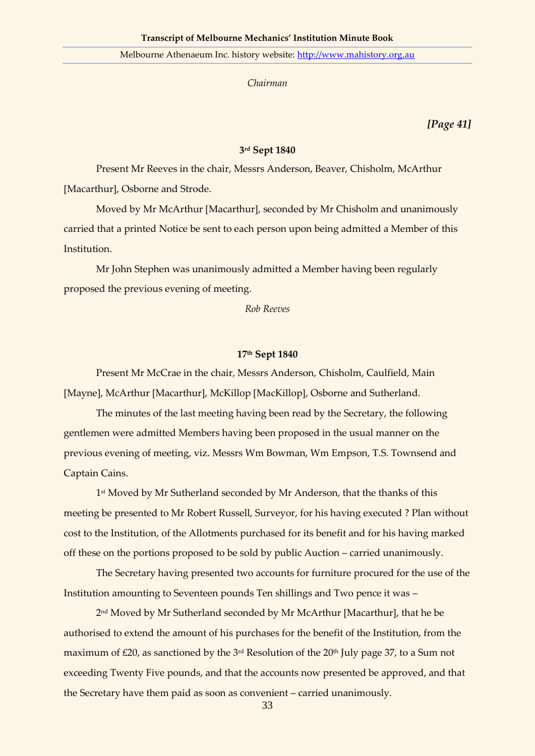*Chairman*

*[Page 41]*

## **3 rd Sept 1840**

Present Mr Reeves in the chair, Messrs Anderson, Beaver, Chisholm, McArthur [Macarthur], Osborne and Strode.

Moved by Mr McArthur [Macarthur], seconded by Mr Chisholm and unanimously carried that a printed Notice be sent to each person upon being admitted a Member of this Institution.

Mr John Stephen was unanimously admitted a Member having been regularly proposed the previous evening of meeting.

*Rob Reeves*

#### **17th Sept 1840**

Present Mr McCrae in the chair, Messrs Anderson, Chisholm, Caulfield, Main [Mayne], McArthur [Macarthur], McKillop [MacKillop], Osborne and Sutherland.

The minutes of the last meeting having been read by the Secretary, the following gentlemen were admitted Members having been proposed in the usual manner on the previous evening of meeting, viz. Messrs Wm Bowman, Wm Empson, T.S. Townsend and Captain Cains.

1 st Moved by Mr Sutherland seconded by Mr Anderson, that the thanks of this meeting be presented to Mr Robert Russell, Surveyor, for his having executed ? Plan without cost to the Institution, of the Allotments purchased for its benefit and for his having marked off these on the portions proposed to be sold by public Auction – carried unanimously.

The Secretary having presented two accounts for furniture procured for the use of the Institution amounting to Seventeen pounds Ten shillings and Two pence it was –

2 nd Moved by Mr Sutherland seconded by Mr McArthur [Macarthur], that he be authorised to extend the amount of his purchases for the benefit of the Institution, from the maximum of  $\text{\textsterling}20$ , as sanctioned by the 3<sup>rd</sup> Resolution of the 20<sup>th</sup> July page 37, to a Sum not exceeding Twenty Five pounds, and that the accounts now presented be approved, and that the Secretary have them paid as soon as convenient – carried unanimously.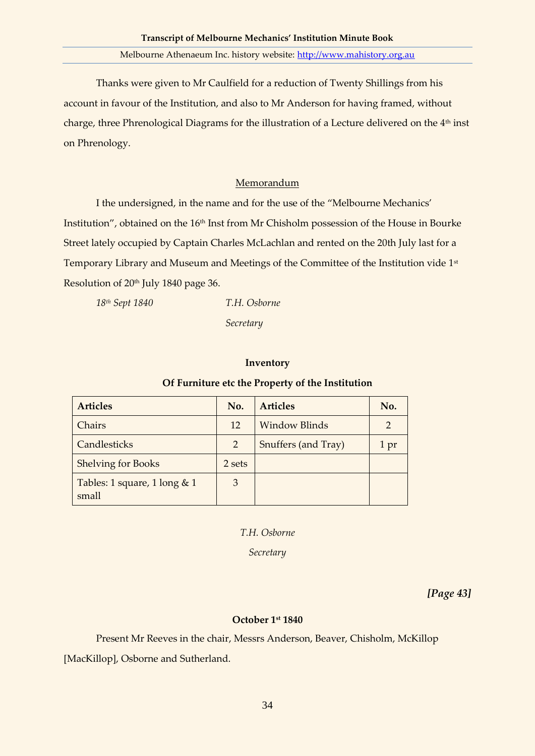Thanks were given to Mr Caulfield for a reduction of Twenty Shillings from his account in favour of the Institution, and also to Mr Anderson for having framed, without charge, three Phrenological Diagrams for the illustration of a Lecture delivered on the 4<sup>th</sup> inst on Phrenology.

# Memorandum

I the undersigned, in the name and for the use of the "Melbourne Mechanics' Institution", obtained on the 16<sup>th</sup> Inst from Mr Chisholm possession of the House in Bourke Street lately occupied by Captain Charles McLachlan and rented on the 20th July last for a Temporary Library and Museum and Meetings of the Committee of the Institution vide 1st Resolution of 20<sup>th</sup> July 1840 page 36.

*18th Sept 1840 T.H. Osborne*

*Secretary*

## **Inventory**

## **Of Furniture etc the Property of the Institution**

| <b>Articles</b>                         | No.    | <b>Articles</b>      | No.  |
|-----------------------------------------|--------|----------------------|------|
| Chairs                                  | 12     | <b>Window Blinds</b> |      |
| Candlesticks                            | 2      | Snuffers (and Tray)  | 1 pr |
| <b>Shelving for Books</b>               | 2 sets |                      |      |
| Tables: 1 square, 1 long $& 1$<br>small | 3      |                      |      |

*T.H. Osborne*

*Secretary*

*[Page 43]*

# **October 1st 1840**

Present Mr Reeves in the chair, Messrs Anderson, Beaver, Chisholm, McKillop [MacKillop], Osborne and Sutherland.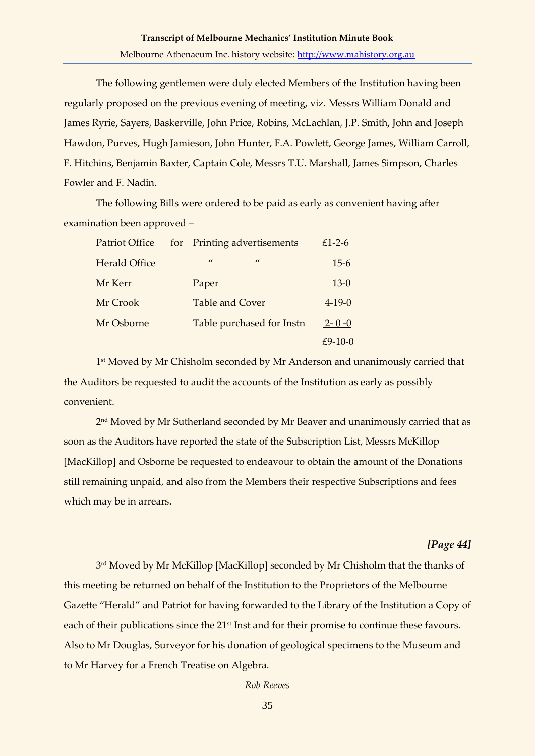The following gentlemen were duly elected Members of the Institution having been regularly proposed on the previous evening of meeting, viz. Messrs William Donald and James Ryrie, Sayers, Baskerville, John Price, Robins, McLachlan, J.P. Smith, John and Joseph Hawdon, Purves, Hugh Jamieson, John Hunter, F.A. Powlett, George James, William Carroll, F. Hitchins, Benjamin Baxter, Captain Cole, Messrs T.U. Marshall, James Simpson, Charles Fowler and F. Nadin.

The following Bills were ordered to be paid as early as convenient having after examination been approved –

| <b>Patriot Office</b> | for Printing advertisements | $£1-2-6$     |
|-----------------------|-----------------------------|--------------|
| <b>Herald Office</b>  | $\prime$<br>$\prime\prime$  | $15-6$       |
| Mr Kerr               | Paper                       | $13-0$       |
| Mr Crook              | <b>Table and Cover</b>      | $4 - 19 - 0$ |
| Mr Osborne            | Table purchased for Instn   | $2 - 0 - 0$  |
|                       |                             | $£9-10-0$    |

1 st Moved by Mr Chisholm seconded by Mr Anderson and unanimously carried that the Auditors be requested to audit the accounts of the Institution as early as possibly convenient.

2 nd Moved by Mr Sutherland seconded by Mr Beaver and unanimously carried that as soon as the Auditors have reported the state of the Subscription List, Messrs McKillop [MacKillop] and Osborne be requested to endeavour to obtain the amount of the Donations still remaining unpaid, and also from the Members their respective Subscriptions and fees which may be in arrears.

## *[Page 44]*

3 rd Moved by Mr McKillop [MacKillop] seconded by Mr Chisholm that the thanks of this meeting be returned on behalf of the Institution to the Proprietors of the Melbourne Gazette "Herald" and Patriot for having forwarded to the Library of the Institution a Copy of each of their publications since the 21<sup>st</sup> Inst and for their promise to continue these favours. Also to Mr Douglas, Surveyor for his donation of geological specimens to the Museum and to Mr Harvey for a French Treatise on Algebra.

*Rob Reeves*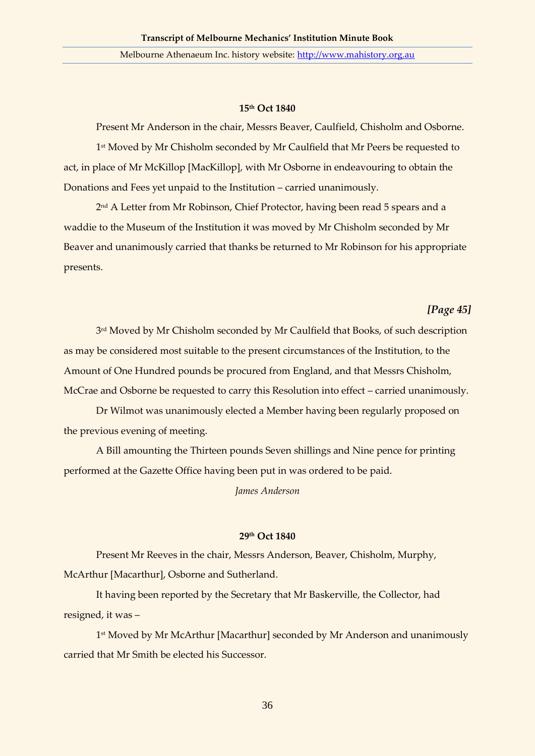## **15th Oct 1840**

Present Mr Anderson in the chair, Messrs Beaver, Caulfield, Chisholm and Osborne. 1 st Moved by Mr Chisholm seconded by Mr Caulfield that Mr Peers be requested to act, in place of Mr McKillop [MacKillop], with Mr Osborne in endeavouring to obtain the Donations and Fees yet unpaid to the Institution – carried unanimously.

2 nd A Letter from Mr Robinson, Chief Protector, having been read 5 spears and a waddie to the Museum of the Institution it was moved by Mr Chisholm seconded by Mr Beaver and unanimously carried that thanks be returned to Mr Robinson for his appropriate presents.

# *[Page 45]*

3 rd Moved by Mr Chisholm seconded by Mr Caulfield that Books, of such description as may be considered most suitable to the present circumstances of the Institution, to the Amount of One Hundred pounds be procured from England, and that Messrs Chisholm, McCrae and Osborne be requested to carry this Resolution into effect – carried unanimously.

Dr Wilmot was unanimously elected a Member having been regularly proposed on the previous evening of meeting.

A Bill amounting the Thirteen pounds Seven shillings and Nine pence for printing performed at the Gazette Office having been put in was ordered to be paid.

*James Anderson*

# **29th Oct 1840**

Present Mr Reeves in the chair, Messrs Anderson, Beaver, Chisholm, Murphy, McArthur [Macarthur], Osborne and Sutherland.

It having been reported by the Secretary that Mr Baskerville, the Collector, had resigned, it was –

1 st Moved by Mr McArthur [Macarthur] seconded by Mr Anderson and unanimously carried that Mr Smith be elected his Successor.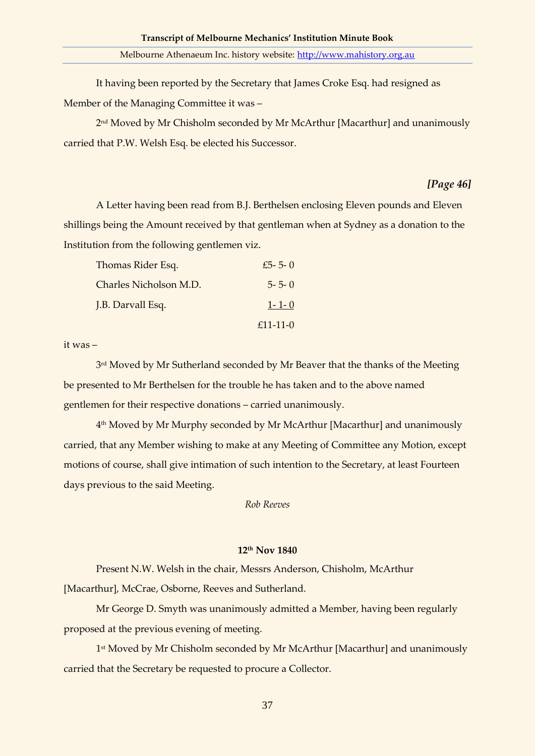It having been reported by the Secretary that James Croke Esq. had resigned as Member of the Managing Committee it was –

2 nd Moved by Mr Chisholm seconded by Mr McArthur [Macarthur] and unanimously carried that P.W. Welsh Esq. be elected his Successor.

## *[Page 46]*

A Letter having been read from B.J. Berthelsen enclosing Eleven pounds and Eleven shillings being the Amount received by that gentleman when at Sydney as a donation to the Institution from the following gentlemen viz.

| Thomas Rider Esq.      | £5 - 5 - 0  |
|------------------------|-------------|
| Charles Nicholson M.D. | $5 - 5 - 0$ |
| J.B. Darvall Esq.      | $1 - 1 - 0$ |
|                        | $£11-11-0$  |

it was –

3 rd Moved by Mr Sutherland seconded by Mr Beaver that the thanks of the Meeting be presented to Mr Berthelsen for the trouble he has taken and to the above named gentlemen for their respective donations – carried unanimously.

4 th Moved by Mr Murphy seconded by Mr McArthur [Macarthur] and unanimously carried, that any Member wishing to make at any Meeting of Committee any Motion, except motions of course, shall give intimation of such intention to the Secretary, at least Fourteen days previous to the said Meeting.

*Rob Reeves*

## **12th Nov 1840**

Present N.W. Welsh in the chair, Messrs Anderson, Chisholm, McArthur [Macarthur], McCrae, Osborne, Reeves and Sutherland.

Mr George D. Smyth was unanimously admitted a Member, having been regularly proposed at the previous evening of meeting.

1 st Moved by Mr Chisholm seconded by Mr McArthur [Macarthur] and unanimously carried that the Secretary be requested to procure a Collector.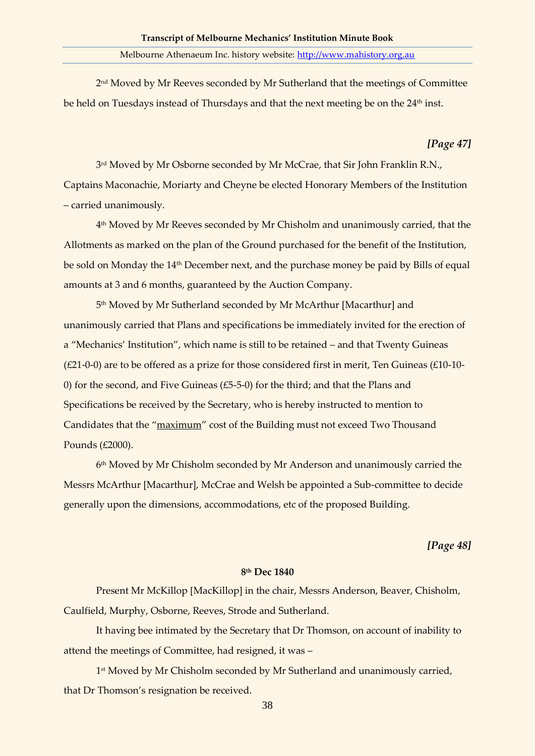2 nd Moved by Mr Reeves seconded by Mr Sutherland that the meetings of Committee be held on Tuesdays instead of Thursdays and that the next meeting be on the 24<sup>th</sup> inst.

## *[Page 47]*

3 rd Moved by Mr Osborne seconded by Mr McCrae, that Sir John Franklin R.N., Captains Maconachie, Moriarty and Cheyne be elected Honorary Members of the Institution – carried unanimously.

4 th Moved by Mr Reeves seconded by Mr Chisholm and unanimously carried, that the Allotments as marked on the plan of the Ground purchased for the benefit of the Institution, be sold on Monday the 14<sup>th</sup> December next, and the purchase money be paid by Bills of equal amounts at 3 and 6 months, guaranteed by the Auction Company.

5 th Moved by Mr Sutherland seconded by Mr McArthur [Macarthur] and unanimously carried that Plans and specifications be immediately invited for the erection of a "Mechanics' Institution", which name is still to be retained – and that Twenty Guineas (£21-0-0) are to be offered as a prize for those considered first in merit, Ten Guineas (£10-10- 0) for the second, and Five Guineas (£5-5-0) for the third; and that the Plans and Specifications be received by the Secretary, who is hereby instructed to mention to Candidates that the "maximum" cost of the Building must not exceed Two Thousand Pounds (£2000).

6 th Moved by Mr Chisholm seconded by Mr Anderson and unanimously carried the Messrs McArthur [Macarthur], McCrae and Welsh be appointed a Sub-committee to decide generally upon the dimensions, accommodations, etc of the proposed Building.

*[Page 48]*

#### **8 th Dec 1840**

Present Mr McKillop [MacKillop] in the chair, Messrs Anderson, Beaver, Chisholm, Caulfield, Murphy, Osborne, Reeves, Strode and Sutherland.

It having bee intimated by the Secretary that Dr Thomson, on account of inability to attend the meetings of Committee, had resigned, it was –

1 st Moved by Mr Chisholm seconded by Mr Sutherland and unanimously carried, that Dr Thomson's resignation be received.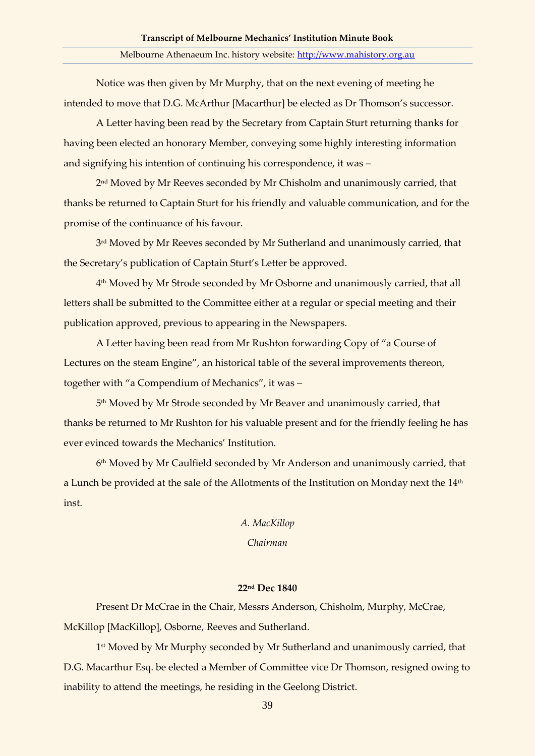Notice was then given by Mr Murphy, that on the next evening of meeting he intended to move that D.G. McArthur [Macarthur] be elected as Dr Thomson's successor.

A Letter having been read by the Secretary from Captain Sturt returning thanks for having been elected an honorary Member, conveying some highly interesting information and signifying his intention of continuing his correspondence, it was –

2 nd Moved by Mr Reeves seconded by Mr Chisholm and unanimously carried, that thanks be returned to Captain Sturt for his friendly and valuable communication, and for the promise of the continuance of his favour.

3 rd Moved by Mr Reeves seconded by Mr Sutherland and unanimously carried, that the Secretary's publication of Captain Sturt's Letter be approved.

4 th Moved by Mr Strode seconded by Mr Osborne and unanimously carried, that all letters shall be submitted to the Committee either at a regular or special meeting and their publication approved, previous to appearing in the Newspapers.

A Letter having been read from Mr Rushton forwarding Copy of "a Course of Lectures on the steam Engine", an historical table of the several improvements thereon, together with "a Compendium of Mechanics", it was –

5 th Moved by Mr Strode seconded by Mr Beaver and unanimously carried, that thanks be returned to Mr Rushton for his valuable present and for the friendly feeling he has ever evinced towards the Mechanics' Institution.

6 th Moved by Mr Caulfield seconded by Mr Anderson and unanimously carried, that a Lunch be provided at the sale of the Allotments of the Institution on Monday next the 14<sup>th</sup> inst.

# *A. MacKillop Chairman*

## **22nd Dec 1840**

Present Dr McCrae in the Chair, Messrs Anderson, Chisholm, Murphy, McCrae, McKillop [MacKillop], Osborne, Reeves and Sutherland.

1 st Moved by Mr Murphy seconded by Mr Sutherland and unanimously carried, that D.G. Macarthur Esq. be elected a Member of Committee vice Dr Thomson, resigned owing to inability to attend the meetings, he residing in the Geelong District.